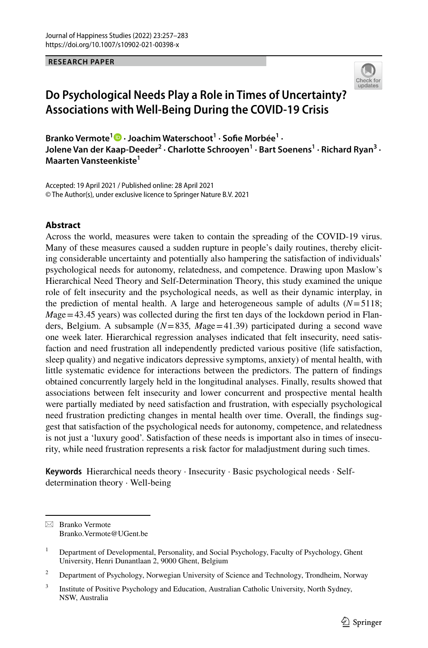**RESEARCH PAPER**



# **Do Psychological Needs Play a Role in Times of Uncertainty? Associations with Well‑Being During the COVID‑19 Crisis**

BrankoVermote<sup>1</sup><sup>0</sup> · Joachim Waterschoot<sup>1</sup> · Sofie Morbée<sup>1</sup> · **Jolene Van der Kaap‑Deeder2 · Charlotte Schrooyen1 · Bart Soenens1 · Richard Ryan3 · Maarten Vansteenkiste1**

Accepted: 19 April 2021 / Published online: 28 April 2021 © The Author(s), under exclusive licence to Springer Nature B.V. 2021

## **Abstract**

Across the world, measures were taken to contain the spreading of the COVID-19 virus. Many of these measures caused a sudden rupture in people's daily routines, thereby eliciting considerable uncertainty and potentially also hampering the satisfaction of individuals' psychological needs for autonomy, relatedness, and competence. Drawing upon Maslow's Hierarchical Need Theory and Self-Determination Theory, this study examined the unique role of felt insecurity and the psychological needs, as well as their dynamic interplay, in the prediction of mental health. A large and heterogeneous sample of adults  $(N=5118;$ *Mage* = 43.45 years) was collected during the first ten days of the lockdown period in Flanders, Belgium. A subsample (*N*=835*, M*age=41.39) participated during a second wave one week later. Hierarchical regression analyses indicated that felt insecurity, need satisfaction and need frustration all independently predicted various positive (life satisfaction, sleep quality) and negative indicators depressive symptoms, anxiety) of mental health, with little systematic evidence for interactions between the predictors. The pattern of fndings obtained concurrently largely held in the longitudinal analyses. Finally, results showed that associations between felt insecurity and lower concurrent and prospective mental health were partially mediated by need satisfaction and frustration, with especially psychological need frustration predicting changes in mental health over time. Overall, the fndings suggest that satisfaction of the psychological needs for autonomy, competence, and relatedness is not just a 'luxury good'. Satisfaction of these needs is important also in times of insecurity, while need frustration represents a risk factor for maladjustment during such times.

**Keywords** Hierarchical needs theory · Insecurity · Basic psychological needs · Selfdetermination theory · Well-being

 $\boxtimes$  Branko Vermote Branko.Vermote@UGent.be

<sup>&</sup>lt;sup>1</sup> Department of Developmental, Personality, and Social Psychology, Faculty of Psychology, Ghent University, Henri Dunantlaan 2, 9000 Ghent, Belgium

<sup>&</sup>lt;sup>2</sup> Department of Psychology, Norwegian University of Science and Technology, Trondheim, Norway

<sup>&</sup>lt;sup>3</sup> Institute of Positive Psychology and Education, Australian Catholic University, North Sydney, NSW, Australia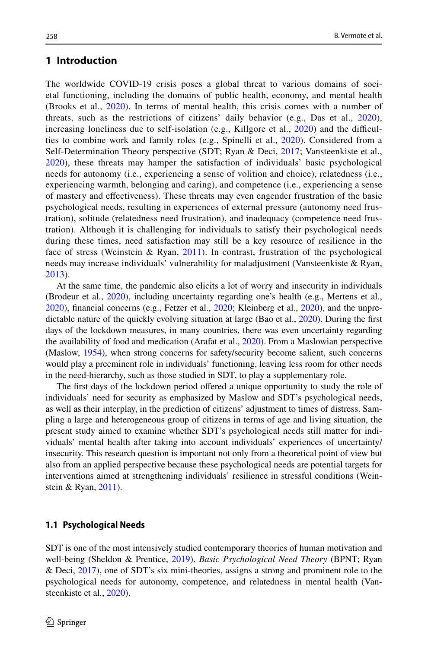# **1 Introduction**

The worldwide COVID-19 crisis poses a global threat to various domains of societal functioning, including the domains of public health, economy, and mental health (Brooks et al., [2020\)](#page-22-0). In terms of mental health, this crisis comes with a number of threats, such as the restrictions of citizens' daily behavior (e.g., Das et al., [2020\)](#page-23-0), increasing loneliness due to self-isolation (e.g., Killgore et al.,  $2020$ ) and the difficulties to combine work and family roles (e.g., Spinelli et al., [2020](#page-25-0)). Considered from a Self-Determination Theory perspective (SDT; Ryan & Deci, [2017;](#page-25-1) Vansteenkiste et al., [2020](#page-25-2)), these threats may hamper the satisfaction of individuals' basic psychological needs for autonomy (i.e., experiencing a sense of volition and choice), relatedness (i.e., experiencing warmth, belonging and caring), and competence (i.e., experiencing a sense of mastery and efectiveness). These threats may even engender frustration of the basic psychological needs, resulting in experiences of external pressure (autonomy need frustration), solitude (relatedness need frustration), and inadequacy (competence need frustration). Although it is challenging for individuals to satisfy their psychological needs during these times, need satisfaction may still be a key resource of resilience in the face of stress (Weinstein & Ryan, [2011](#page-25-3)). In contrast, frustration of the psychological needs may increase individuals' vulnerability for maladjustment (Vansteenkiste & Ryan, [2013](#page-25-4)).

At the same time, the pandemic also elicits a lot of worry and insecurity in individuals (Brodeur et al., [2020\)](#page-22-1), including uncertainty regarding one's health (e.g., Mertens et al., [2020\)](#page-24-0), fnancial concerns (e.g., Fetzer et al., [2020;](#page-23-2) Kleinberg et al., [2020](#page-23-3)), and the unpredictable nature of the quickly evolving situation at large (Bao et al., [2020\)](#page-22-2). During the frst days of the lockdown measures, in many countries, there was even uncertainty regarding the availability of food and medication (Arafat et al., [2020\)](#page-22-3). From a Maslowian perspective (Maslow, [1954\)](#page-24-1), when strong concerns for safety/security become salient, such concerns would play a preeminent role in individuals' functioning, leaving less room for other needs in the need-hierarchy, such as those studied in SDT, to play a supplementary role.

The first days of the lockdown period offered a unique opportunity to study the role of individuals' need for security as emphasized by Maslow and SDT's psychological needs, as well as their interplay, in the prediction of citizens' adjustment to times of distress. Sampling a large and heterogeneous group of citizens in terms of age and living situation, the present study aimed to examine whether SDT's psychological needs still matter for individuals' mental health after taking into account individuals' experiences of uncertainty/ insecurity. This research question is important not only from a theoretical point of view but also from an applied perspective because these psychological needs are potential targets for interventions aimed at strengthening individuals' resilience in stressful conditions (Weinstein & Ryan, [2011](#page-25-3)).

#### **1.1 Psychological Needs**

SDT is one of the most intensively studied contemporary theories of human motivation and well-being (Sheldon & Prentice, [2019](#page-25-5)). *Basic Psychological Need Theory* (BPNT; Ryan & Deci, [2017](#page-25-1)), one of SDT's six mini-theories, assigns a strong and prominent role to the psychological needs for autonomy, competence, and relatedness in mental health (Vansteenkiste et al., [2020\)](#page-25-2).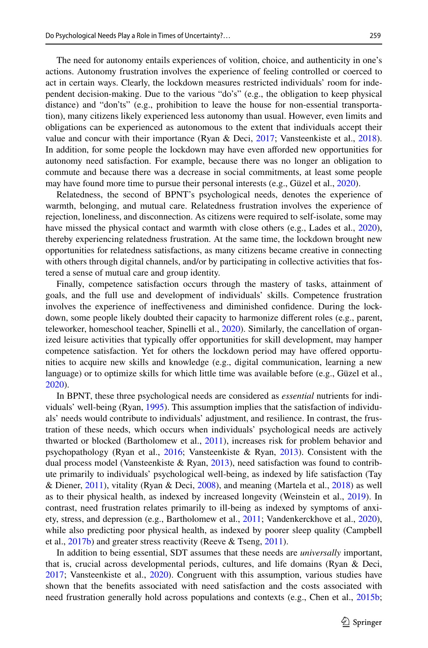The need for autonomy entails experiences of volition, choice, and authenticity in one's actions. Autonomy frustration involves the experience of feeling controlled or coerced to act in certain ways. Clearly, the lockdown measures restricted individuals' room for independent decision-making. Due to the various "do's" (e.g., the obligation to keep physical distance) and "don'ts" (e.g., prohibition to leave the house for non-essential transportation), many citizens likely experienced less autonomy than usual. However, even limits and obligations can be experienced as autonomous to the extent that individuals accept their value and concur with their importance (Ryan & Deci, [2017](#page-25-1); Vansteenkiste et al., [2018](#page-25-6)). In addition, for some people the lockdown may have even aforded new opportunities for autonomy need satisfaction. For example, because there was no longer an obligation to commute and because there was a decrease in social commitments, at least some people may have found more time to pursue their personal interests (e.g., Güzel et al., [2020](#page-23-4)).

Relatedness, the second of BPNT's psychological needs, denotes the experience of warmth, belonging, and mutual care. Relatedness frustration involves the experience of rejection, loneliness, and disconnection. As citizens were required to self-isolate, some may have missed the physical contact and warmth with close others (e.g., Lades et al., [2020](#page-24-2)), thereby experiencing relatedness frustration. At the same time, the lockdown brought new opportunities for relatedness satisfactions, as many citizens became creative in connecting with others through digital channels, and/or by participating in collective activities that fostered a sense of mutual care and group identity.

Finally, competence satisfaction occurs through the mastery of tasks, attainment of goals, and the full use and development of individuals' skills. Competence frustration involves the experience of inefectiveness and diminished confdence. During the lockdown, some people likely doubted their capacity to harmonize diferent roles (e.g., parent, teleworker, homeschool teacher, Spinelli et al., [2020\)](#page-25-0). Similarly, the cancellation of organized leisure activities that typically offer opportunities for skill development, may hamper competence satisfaction. Yet for others the lockdown period may have ofered opportunities to acquire new skills and knowledge (e.g., digital communication, learning a new language) or to optimize skills for which little time was available before (e.g., Güzel et al., [2020\)](#page-23-4).

In BPNT, these three psychological needs are considered as *essential* nutrients for individuals' well-being (Ryan, [1995\)](#page-25-7). This assumption implies that the satisfaction of individuals' needs would contribute to individuals' adjustment, and resilience. In contrast, the frustration of these needs, which occurs when individuals' psychological needs are actively thwarted or blocked (Bartholomew et al., [2011](#page-22-4)), increases risk for problem behavior and psychopathology (Ryan et al., [2016](#page-25-8); Vansteenkiste & Ryan, [2013\)](#page-25-4). Consistent with the dual process model (Vansteenkiste & Ryan, [2013\)](#page-25-4), need satisfaction was found to contribute primarily to individuals' psychological well-being, as indexed by life satisfaction (Tay & Diener, [2011](#page-25-9)), vitality (Ryan & Deci, [2008\)](#page-25-10), and meaning (Martela et al., [2018](#page-24-3)) as well as to their physical health, as indexed by increased longevity (Weinstein et al., [2019\)](#page-25-11). In contrast, need frustration relates primarily to ill-being as indexed by symptoms of anxiety, stress, and depression (e.g., Bartholomew et al., [2011](#page-22-4); Vandenkerckhove et al., [2020](#page-25-12)), while also predicting poor physical health, as indexed by poorer sleep quality (Campbell et al.,  $2017b$ ) and greater stress reactivity (Reeve & Tseng, [2011\)](#page-24-4).

In addition to being essential, SDT assumes that these needs are *universally* important, that is, crucial across developmental periods, cultures, and life domains (Ryan & Deci, [2017;](#page-25-1) Vansteenkiste et al., [2020\)](#page-25-2). Congruent with this assumption, various studies have shown that the benefts associated with need satisfaction and the costs associated with need frustration generally hold across populations and contexts (e.g., Chen et al., [2015b;](#page-23-6)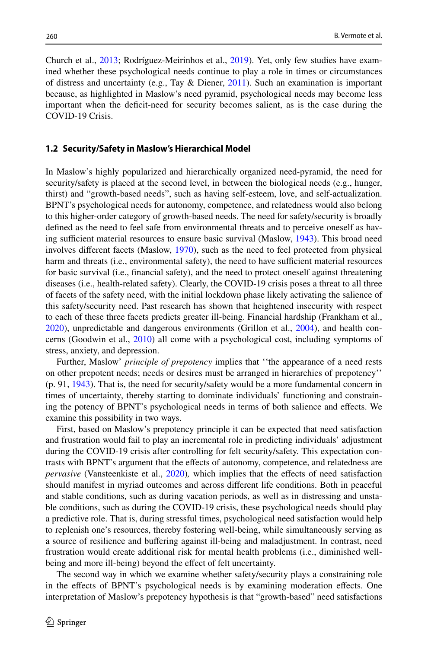Church et al., [2013](#page-23-7); Rodríguez-Meirinhos et al., [2019](#page-24-5)). Yet, only few studies have examined whether these psychological needs continue to play a role in times or circumstances of distress and uncertainty (e.g., Tay & Diener, [2011](#page-25-9)). Such an examination is important because, as highlighted in Maslow's need pyramid, psychological needs may become less important when the defcit-need for security becomes salient, as is the case during the COVID-19 Crisis.

#### **1.2 Security/Safety in Maslow's Hierarchical Model**

In Maslow's highly popularized and hierarchically organized need-pyramid, the need for security/safety is placed at the second level, in between the biological needs (e.g., hunger, thirst) and "growth-based needs", such as having self-esteem, love, and self-actualization. BPNT's psychological needs for autonomy, competence, and relatedness would also belong to this higher-order category of growth-based needs. The need for safety/security is broadly defned as the need to feel safe from environmental threats and to perceive oneself as hav-ing sufficient material resources to ensure basic survival (Maslow, [1943](#page-24-6)). This broad need involves diferent facets (Maslow, [1970\)](#page-24-7), such as the need to feel protected from physical harm and threats (i.e., environmental safety), the need to have sufficient material resources for basic survival (i.e., fnancial safety), and the need to protect oneself against threatening diseases (i.e., health-related safety). Clearly, the COVID-19 crisis poses a threat to all three of facets of the safety need, with the initial lockdown phase likely activating the salience of this safety/security need. Past research has shown that heightened insecurity with respect to each of these three facets predicts greater ill-being. Financial hardship (Frankham et al., [2020\)](#page-23-8), unpredictable and dangerous environments (Grillon et al., [2004\)](#page-23-9), and health concerns (Goodwin et al., [2010\)](#page-23-10) all come with a psychological cost, including symptoms of stress, anxiety, and depression.

Further, Maslow' *principle of prepotency* implies that ''the appearance of a need rests on other prepotent needs; needs or desires must be arranged in hierarchies of prepotency'' (p. 91, [1943\)](#page-24-6). That is, the need for security/safety would be a more fundamental concern in times of uncertainty, thereby starting to dominate individuals' functioning and constraining the potency of BPNT's psychological needs in terms of both salience and efects. We examine this possibility in two ways.

First, based on Maslow's prepotency principle it can be expected that need satisfaction and frustration would fail to play an incremental role in predicting individuals' adjustment during the COVID-19 crisis after controlling for felt security/safety. This expectation contrasts with BPNT's argument that the effects of autonomy, competence, and relatedness are *pervasive* (Vansteenkiste et al., [2020\)](#page-25-2)*,* which implies that the efects of need satisfaction should manifest in myriad outcomes and across diferent life conditions. Both in peaceful and stable conditions, such as during vacation periods, as well as in distressing and unstable conditions, such as during the COVID-19 crisis, these psychological needs should play a predictive role. That is, during stressful times, psychological need satisfaction would help to replenish one's resources, thereby fostering well-being, while simultaneously serving as a source of resilience and bufering against ill-being and maladjustment. In contrast, need frustration would create additional risk for mental health problems (i.e., diminished wellbeing and more ill-being) beyond the effect of felt uncertainty.

The second way in which we examine whether safety/security plays a constraining role in the efects of BPNT's psychological needs is by examining moderation efects. One interpretation of Maslow's prepotency hypothesis is that "growth-based" need satisfactions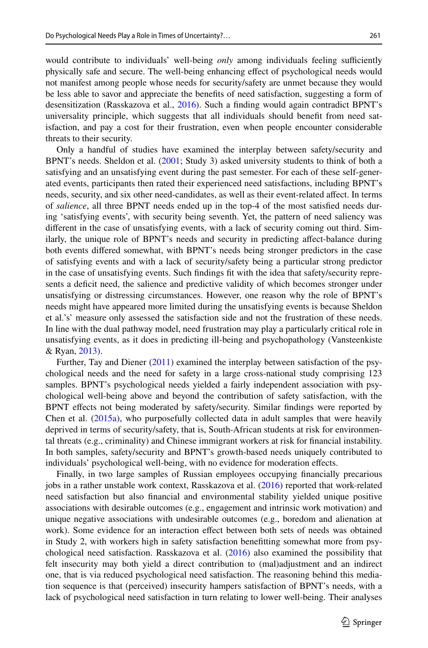would contribute to individuals' well-being *only* among individuals feeling sufficiently physically safe and secure. The well-being enhancing efect of psychological needs would not manifest among people whose needs for security/safety are unmet because they would be less able to savor and appreciate the benefts of need satisfaction, suggesting a form of desensitization (Rasskazova et al., [2016](#page-24-8)). Such a fnding would again contradict BPNT's universality principle, which suggests that all individuals should beneft from need satisfaction, and pay a cost for their frustration, even when people encounter considerable threats to their security.

Only a handful of studies have examined the interplay between safety/security and BPNT's needs. Sheldon et al. [\(2001](#page-25-13); Study 3) asked university students to think of both a satisfying and an unsatisfying event during the past semester. For each of these self-generated events, participants then rated their experienced need satisfactions, including BPNT's needs, security, and six other need-candidates, as well as their event-related afect. In terms of *salience*, all three BPNT needs ended up in the top-4 of the most satisfed needs during 'satisfying events', with security being seventh. Yet, the pattern of need saliency was diferent in the case of unsatisfying events, with a lack of security coming out third. Similarly, the unique role of BPNT's needs and security in predicting afect-balance during both events difered somewhat, with BPNT's needs being stronger predictors in the case of satisfying events and with a lack of security/safety being a particular strong predictor in the case of unsatisfying events. Such fndings ft with the idea that safety/security represents a defcit need, the salience and predictive validity of which becomes stronger under unsatisfying or distressing circumstances. However, one reason why the role of BPNT's needs might have appeared more limited during the unsatisfying events is because Sheldon et al.'s' measure only assessed the satisfaction side and not the frustration of these needs. In line with the dual pathway model, need frustration may play a particularly critical role in unsatisfying events, as it does in predicting ill-being and psychopathology (Vansteenkiste & Ryan, [2013\)](#page-25-4).

Further, Tay and Diener [\(2011](#page-25-9)) examined the interplay between satisfaction of the psychological needs and the need for safety in a large cross-national study comprising 123 samples. BPNT's psychological needs yielded a fairly independent association with psychological well-being above and beyond the contribution of safety satisfaction, with the BPNT efects not being moderated by safety/security. Similar fndings were reported by Chen et al. ([2015a\)](#page-23-11), who purposefully collected data in adult samples that were heavily deprived in terms of security/safety, that is, South-African students at risk for environmental threats (e.g., criminality) and Chinese immigrant workers at risk for fnancial instability. In both samples, safety/security and BPNT's growth-based needs uniquely contributed to individuals' psychological well-being, with no evidence for moderation efects.

Finally, in two large samples of Russian employees occupying fnancially precarious jobs in a rather unstable work context, Rasskazova et al. [\(2016](#page-24-8)) reported that work-related need satisfaction but also fnancial and environmental stability yielded unique positive associations with desirable outcomes (e.g., engagement and intrinsic work motivation) and unique negative associations with undesirable outcomes (e.g., boredom and alienation at work). Some evidence for an interaction efect between both sets of needs was obtained in Study 2, with workers high in safety satisfaction beneftting somewhat more from psychological need satisfaction. Rasskazova et al. ([2016\)](#page-24-8) also examined the possibility that felt insecurity may both yield a direct contribution to (mal)adjustment and an indirect one, that is via reduced psychological need satisfaction. The reasoning behind this mediation sequence is that (perceived) insecurity hampers satisfaction of BPNT's needs, with a lack of psychological need satisfaction in turn relating to lower well-being. Their analyses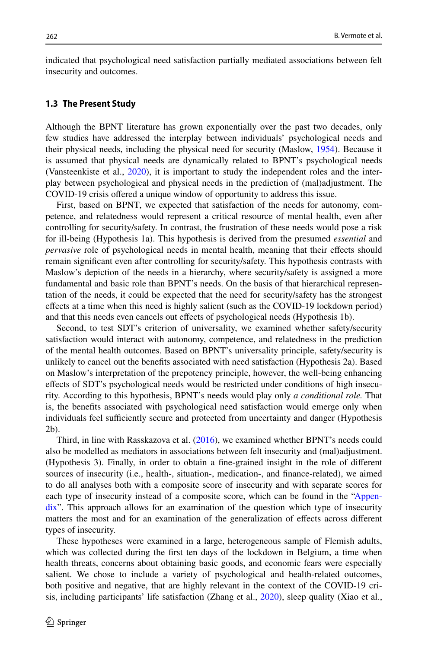indicated that psychological need satisfaction partially mediated associations between felt insecurity and outcomes.

#### **1.3 The Present Study**

Although the BPNT literature has grown exponentially over the past two decades, only few studies have addressed the interplay between individuals' psychological needs and their physical needs, including the physical need for security (Maslow, [1954\)](#page-24-1). Because it is assumed that physical needs are dynamically related to BPNT's psychological needs (Vansteenkiste et al., [2020](#page-25-2)), it is important to study the independent roles and the interplay between psychological and physical needs in the prediction of (mal)adjustment. The COVID-19 crisis ofered a unique window of opportunity to address this issue.

First, based on BPNT, we expected that satisfaction of the needs for autonomy, competence, and relatedness would represent a critical resource of mental health, even after controlling for security/safety. In contrast, the frustration of these needs would pose a risk for ill-being (Hypothesis 1a). This hypothesis is derived from the presumed *essential* and *pervasive* role of psychological needs in mental health, meaning that their effects should remain signifcant even after controlling for security/safety. This hypothesis contrasts with Maslow's depiction of the needs in a hierarchy, where security/safety is assigned a more fundamental and basic role than BPNT's needs. On the basis of that hierarchical representation of the needs, it could be expected that the need for security/safety has the strongest efects at a time when this need is highly salient (such as the COVID-19 lockdown period) and that this needs even cancels out efects of psychological needs (Hypothesis 1b).

Second, to test SDT's criterion of universality, we examined whether safety/security satisfaction would interact with autonomy, competence, and relatedness in the prediction of the mental health outcomes. Based on BPNT's universality principle, safety/security is unlikely to cancel out the benefts associated with need satisfaction (Hypothesis 2a). Based on Maslow's interpretation of the prepotency principle, however, the well-being enhancing efects of SDT's psychological needs would be restricted under conditions of high insecurity. According to this hypothesis, BPNT's needs would play only *a conditional role.* That is, the benefts associated with psychological need satisfaction would emerge only when individuals feel sufficiently secure and protected from uncertainty and danger (Hypothesis 2b).

Third, in line with Rasskazova et al. [\(2016](#page-24-8)), we examined whether BPNT's needs could also be modelled as mediators in associations between felt insecurity and (mal)adjustment. (Hypothesis 3). Finally, in order to obtain a fne-grained insight in the role of diferent sources of insecurity (i.e., health-, situation-, medication-, and fnance-related), we aimed to do all analyses both with a composite score of insecurity and with separate scores for each type of insecurity instead of a composite score, which can be found in the ["Appen](#page-20-0)[dix"](#page-20-0). This approach allows for an examination of the question which type of insecurity matters the most and for an examination of the generalization of efects across diferent types of insecurity.

These hypotheses were examined in a large, heterogeneous sample of Flemish adults, which was collected during the frst ten days of the lockdown in Belgium, a time when health threats, concerns about obtaining basic goods, and economic fears were especially salient. We chose to include a variety of psychological and health-related outcomes, both positive and negative, that are highly relevant in the context of the COVID-19 crisis, including participants' life satisfaction (Zhang et al., [2020](#page-25-14)), sleep quality (Xiao et al.,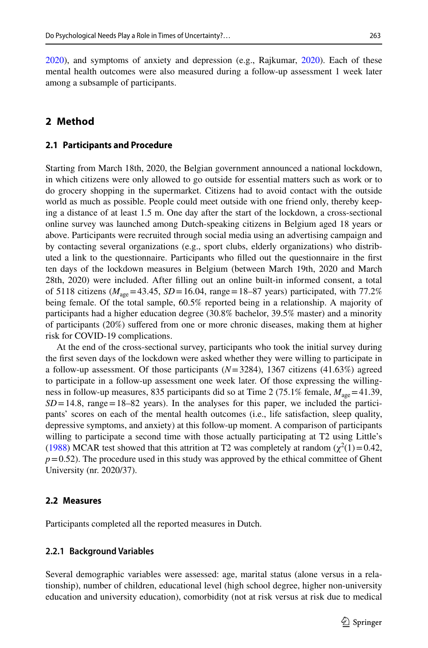[2020\)](#page-25-15), and symptoms of anxiety and depression (e.g., Rajkumar, [2020\)](#page-24-9). Each of these mental health outcomes were also measured during a follow-up assessment 1 week later among a subsample of participants.

# **2 Method**

#### **2.1 Participants and Procedure**

Starting from March 18th, 2020, the Belgian government announced a national lockdown, in which citizens were only allowed to go outside for essential matters such as work or to do grocery shopping in the supermarket. Citizens had to avoid contact with the outside world as much as possible. People could meet outside with one friend only, thereby keeping a distance of at least 1.5 m. One day after the start of the lockdown, a cross-sectional online survey was launched among Dutch-speaking citizens in Belgium aged 18 years or above. Participants were recruited through social media using an advertising campaign and by contacting several organizations (e.g., sport clubs, elderly organizations) who distributed a link to the questionnaire. Participants who flled out the questionnaire in the frst ten days of the lockdown measures in Belgium (between March 19th, 2020 and March 28th, 2020) were included. After flling out an online built-in informed consent, a total of 5118 citizens ( $M_{\text{age}}$ =43.45, *SD* = 16.04, range = 18–87 years) participated, with 77.2% being female. Of the total sample, 60.5% reported being in a relationship. A majority of participants had a higher education degree (30.8% bachelor, 39.5% master) and a minority of participants (20%) sufered from one or more chronic diseases, making them at higher risk for COVID-19 complications.

At the end of the cross-sectional survey, participants who took the initial survey during the frst seven days of the lockdown were asked whether they were willing to participate in a follow-up assessment. Of those participants (*N*=3284), 1367 citizens (41.63%) agreed to participate in a follow-up assessment one week later. Of those expressing the willingness in follow-up measures, 835 participants did so at Time 2 (75.1% female,  $M_{\text{age}}$  = 41.39,  $SD = 14.8$ , range = 18–82 years). In the analyses for this paper, we included the participants' scores on each of the mental health outcomes (i.e., life satisfaction, sleep quality, depressive symptoms, and anxiety) at this follow-up moment. A comparison of participants willing to participate a second time with those actually participating at T2 using Little's ([1988\)](#page-24-10) MCAR test showed that this attrition at T2 was completely at random ( $\chi^2(1)$  = 0.42,  $p=0.52$ ). The procedure used in this study was approved by the ethical committee of Ghent University (nr. 2020/37).

#### **2.2 Measures**

Participants completed all the reported measures in Dutch.

#### **2.2.1 Background Variables**

Several demographic variables were assessed: age, marital status (alone versus in a relationship), number of children, educational level (high school degree, higher non-university education and university education), comorbidity (not at risk versus at risk due to medical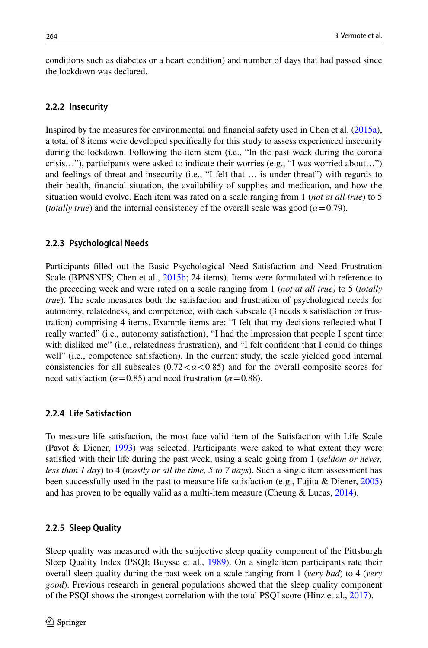conditions such as diabetes or a heart condition) and number of days that had passed since the lockdown was declared.

#### **2.2.2 Insecurity**

Inspired by the measures for environmental and fnancial safety used in Chen et al. ([2015a](#page-23-11)), a total of 8 items were developed specifcally for this study to assess experienced insecurity during the lockdown. Following the item stem (i.e., "In the past week during the corona crisis…"), participants were asked to indicate their worries (e.g., "I was worried about…") and feelings of threat and insecurity (i.e., "I felt that … is under threat") with regards to their health, fnancial situation, the availability of supplies and medication, and how the situation would evolve. Each item was rated on a scale ranging from 1 (*not at all true*) to 5 (*totally true*) and the internal consistency of the overall scale was good (*α*=0.79).

#### **2.2.3 Psychological Needs**

Participants flled out the Basic Psychological Need Satisfaction and Need Frustration Scale (BPNSNFS; Chen et al., [2015b;](#page-23-6) 24 items). Items were formulated with reference to the preceding week and were rated on a scale ranging from 1 (*not at all true)* to 5 (*totally true*). The scale measures both the satisfaction and frustration of psychological needs for autonomy, relatedness, and competence, with each subscale (3 needs x satisfaction or frustration) comprising 4 items. Example items are: "I felt that my decisions refected what I really wanted" (i.e., autonomy satisfaction), "I had the impression that people I spent time with disliked me" (i.e., relatedness frustration), and "I felt confident that I could do things well" (i.e., competence satisfaction). In the current study, the scale yielded good internal consistencies for all subscales  $(0.72 < \alpha < 0.85)$  and for the overall composite scores for need satisfaction ( $\alpha$ =0.85) and need frustration ( $\alpha$ =0.88).

## **2.2.4 Life Satisfaction**

To measure life satisfaction, the most face valid item of the Satisfaction with Life Scale (Pavot & Diener, [1993](#page-24-11)) was selected. Participants were asked to what extent they were satisfed with their life during the past week, using a scale going from 1 (*seldom or never, less than 1 day*) to 4 (*mostly or all the time, 5 to 7 days*). Such a single item assessment has been successfully used in the past to measure life satisfaction (e.g., Fujita & Diener, [2005](#page-23-12)) and has proven to be equally valid as a multi-item measure (Cheung  $& Lucas, 2014$  $& Lucas, 2014$ ).

### **2.2.5 Sleep Quality**

Sleep quality was measured with the subjective sleep quality component of the Pittsburgh Sleep Quality Index (PSQI; Buysse et al., [1989](#page-22-5)). On a single item participants rate their overall sleep quality during the past week on a scale ranging from 1 (*very bad*) to 4 (*very good*). Previous research in general populations showed that the sleep quality component of the PSQI shows the strongest correlation with the total PSQI score (Hinz et al., [2017](#page-23-14)).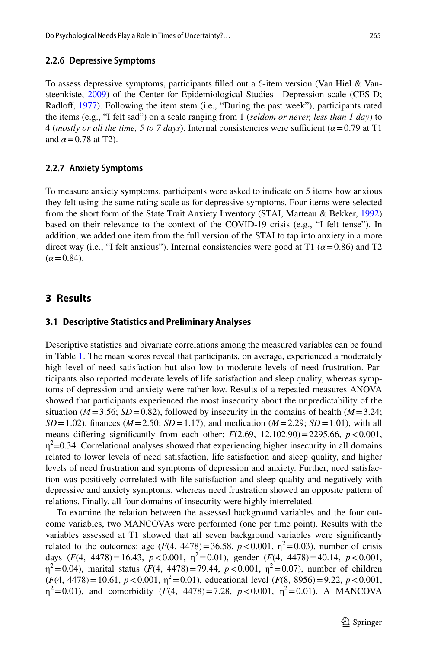#### **2.2.6 Depressive Symptoms**

To assess depressive symptoms, participants flled out a 6-item version (Van Hiel & Vansteenkiste, [2009](#page-25-16)) of the Center for Epidemiological Studies—Depression scale (CES-D; Radloff, [1977\)](#page-24-12). Following the item stem (i.e., "During the past week"), participants rated the items (e.g., "I felt sad") on a scale ranging from 1 (*seldom or never, less than 1 day*) to 4 (*mostly or all the time, 5 to 7 days*). Internal consistencies were sufficient ( $\alpha$ =0.79 at T1 and  $\alpha$  = 0.78 at T2).

#### **2.2.7 Anxiety Symptoms**

To measure anxiety symptoms, participants were asked to indicate on 5 items how anxious they felt using the same rating scale as for depressive symptoms. Four items were selected from the short form of the State Trait Anxiety Inventory (STAI, Marteau & Bekker, [1992](#page-24-13)) based on their relevance to the context of the COVID-19 crisis (e.g., "I felt tense"). In addition, we added one item from the full version of the STAI to tap into anxiety in a more direct way (i.e., "I felt anxious"). Internal consistencies were good at T1 ( $\alpha$  = 0.86) and T2  $(\alpha = 0.84)$ .

## **3 Results**

#### **3.1 Descriptive Statistics and Preliminary Analyses**

Descriptive statistics and bivariate correlations among the measured variables can be found in Table [1](#page-9-0). The mean scores reveal that participants, on average, experienced a moderately high level of need satisfaction but also low to moderate levels of need frustration. Participants also reported moderate levels of life satisfaction and sleep quality, whereas symptoms of depression and anxiety were rather low. Results of a repeated measures ANOVA showed that participants experienced the most insecurity about the unpredictability of the situation ( $M=3.56$ ;  $SD=0.82$ ), followed by insecurity in the domains of health ( $M=3.24$ ;  $SD = 1.02$ ), finances ( $M = 2.50$ ;  $SD = 1.17$ ), and medication ( $M = 2.29$ ;  $SD = 1.01$ ), with all means differing significantly from each other;  $F(2.69, 12,102.90) = 2295.66$ ,  $p < 0.001$ ,  $\eta^2$ =0.34. Correlational analyses showed that experiencing higher insecurity in all domains related to lower levels of need satisfaction, life satisfaction and sleep quality, and higher levels of need frustration and symptoms of depression and anxiety. Further, need satisfaction was positively correlated with life satisfaction and sleep quality and negatively with depressive and anxiety symptoms, whereas need frustration showed an opposite pattern of relations. Finally, all four domains of insecurity were highly interrelated.

To examine the relation between the assessed background variables and the four outcome variables, two MANCOVAs were performed (one per time point). Results with the variables assessed at T1 showed that all seven background variables were signifcantly related to the outcomes: age  $(F(4, 4478) = 36.58, p < 0.001, \eta^2 = 0.03)$ , number of crisis days  $(F(4, 4478) = 16.43, p < 0.001, \eta^2 = 0.01$ , gender  $(F(4, 4478) = 40.14, p < 0.001$ ,  $\eta^2$ =0.04), marital status (*F*(4, 4478)=79.44, *p*<0.001,  $\eta^2$ =0.07), number of children  $(F(4, 4478) = 10.61, p < 0.001, \eta^2 = 0.01)$ , educational level  $(F(8, 8956) = 9.22, p < 0.001$ ,  $\eta^2 = 0.01$ ), and comorbidity (*F*(4, 4478) = 7.28, *p* < 0.001,  $\eta^2 = 0.01$ ). A MANCOVA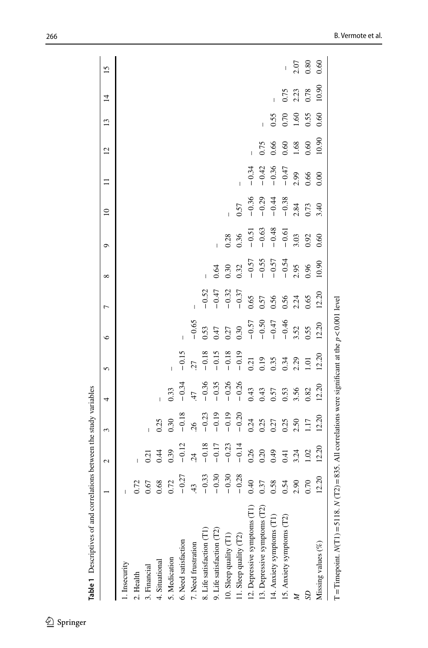| entries of the control of the second control of the study variables                                      |                       |             |         |                |         |                    |         |                               |                    |                    |         |                |      |                |      |
|----------------------------------------------------------------------------------------------------------|-----------------------|-------------|---------|----------------|---------|--------------------|---------|-------------------------------|--------------------|--------------------|---------|----------------|------|----------------|------|
|                                                                                                          |                       | 2           | 3       | 4              | 5       | ७                  | Γ       | ${}^{\circ}$                  | ٥                  | $\overline{a}$     |         | $\overline{c}$ | 13   | $\overline{4}$ | 15   |
| 1. Insecurity                                                                                            |                       |             |         |                |         |                    |         |                               |                    |                    |         |                |      |                |      |
| 2. Health                                                                                                |                       |             |         |                |         |                    |         |                               |                    |                    |         |                |      |                |      |
| 3. Financial                                                                                             | $\mathcal{Q}$         | 0.21        |         |                |         |                    |         |                               |                    |                    |         |                |      |                |      |
| 4. Situational                                                                                           | 1.68                  | 0.44        | 0.25    |                |         |                    |         |                               |                    |                    |         |                |      |                |      |
| 5. Medication                                                                                            | $\tilde{\mathcal{L}}$ | 0.39        | 0.30    | 0.33           |         |                    |         |                               |                    |                    |         |                |      |                |      |
| 6. Need satisfaction                                                                                     | $-0.27$               | $-0.12$     | $-0.18$ | $-0.34$        | $-0.15$ |                    |         |                               |                    |                    |         |                |      |                |      |
| 7. Need frustration                                                                                      | $\overline{u}$        | $rac{4}{2}$ | 26      | 47             | 77      | $-0.65$            |         |                               |                    |                    |         |                |      |                |      |
| 8. Life satisfaction (T1)                                                                                | $-0.33$               | $-0.18$     | $-0.23$ | $-0.36$        | $-0.18$ | 0.53               | $-0.52$ |                               |                    |                    |         |                |      |                |      |
| 9. Life satisfaction (T2)                                                                                | $-0.30$               | $-0.17$     | $-0.19$ | $-0.35$        | $-0.15$ | 0.47               | $-0.47$ | 0.64                          |                    |                    |         |                |      |                |      |
| 10. Sleep quality (T1)                                                                                   | $-0.30$               | $-0.23$     | $-0.19$ | $-0.26$        | $-0.18$ | 0.27               | $-0.32$ | 0.30                          | 0.28               |                    |         |                |      |                |      |
| 11. Sleep quality (T2)                                                                                   | $-0.28$               | $-0.14$     | $-0.20$ | $-0.26$        | $-0.19$ | 0.30               | $-0.37$ | 0.32                          | 0.36               | 0.57               |         |                |      |                |      |
| 12. Depressive symptoms (T1)                                                                             | $\ddot{=}$            | 0.26        | 0.24    |                | 0.21    | $-0.57$            | 0.65    |                               | $-0.51$            | $-0.36$            | $-0.34$ |                |      |                |      |
| 13. Depressive symptoms (T2)                                                                             | 1.37                  | 0.20        | 0.25    | $0.43$<br>0.43 | 0.19    |                    | 0.57    |                               |                    |                    | $-0.42$ | 0.75           |      |                |      |
| 14. Anxiety symptoms (T1)                                                                                | .58                   | 0.49        | 0.27    | 0.57           | 0.35    | $-0.50$<br>$-0.47$ | 0.56    | $-0.57$<br>$-0.55$<br>$-0.57$ | $-0.63$<br>$-0.48$ | $-0.29$<br>$-0.44$ | $-0.36$ | 0.66           | 0.55 |                |      |
| 15. Anxiety symptoms (T2)                                                                                | $\ddot{5}$            | 0.41        | 0.25    | 0.53           | 0.34    | $-0.46$            | 0.56    | $-0.54$                       | $-0.61$            | $-0.38$            | $-0.47$ | 0.60           | 0.70 | 0.75           |      |
|                                                                                                          | $\mathcal{S}$         | 3.24        | 2.50    | 3.56           | 2.29    | 3.52               | 2.24    | 2.95                          | 3.03               | 2.84               | 2.99    | 1.68           | 1.60 | 2.23           | 2.07 |
|                                                                                                          | 0.70                  | 1.02        | 1.17    | 0.82           | 1.01    | 0.55               | 0.65    | 0.96                          | 0.92               | 0.73               | 0.66    | 0.60           | 0.55 | 0.78           | 0.80 |
| Missing values $(\%)$                                                                                    | 2.20                  | 12.20       | 12.20   | 12.20          | 12.20   | 12.20              | 12.20   | 10.90                         | 0.60               | 3.40               | 0.00    | 10.90          | 0.60 | 10.90          | 0.60 |
| T = Timepoint. $N(T1)$ = 5118. $N(T2)$ = 835. All correlations were significant at the $p < 0.001$ level |                       |             |         |                |         |                    |         |                               |                    |                    |         |                |      |                |      |

ctudy voriables **Table 1** Descriptives of and correlations between the study variables  $\sim$  44.  $\ddot{\phantom{0}}$ منا معدنية والمس Table 1 Decembricac of and

<span id="page-9-0"></span> $\underline{\textcircled{\tiny 2}}$  Springer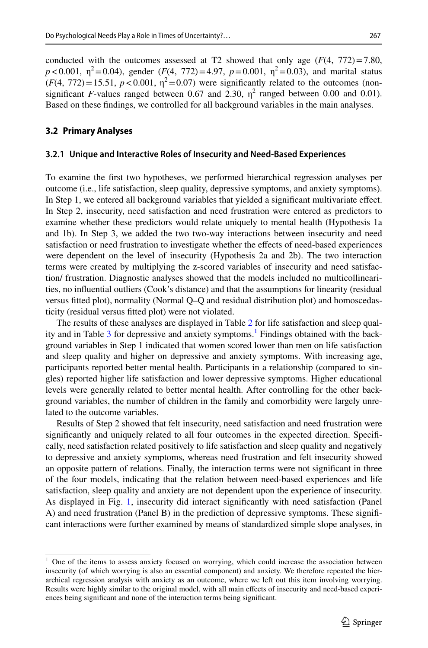conducted with the outcomes assessed at T2 showed that only age  $(F(4, 772)=7.80$ ,  $p < 0.001$ ,  $\eta^2 = 0.04$ ), gender (*F*(4, 772) = 4.97,  $p = 0.001$ ,  $\eta^2 = 0.03$ ), and marital status  $(F(4, 772)=15.51, p<0.001, \eta^2=0.07)$  were significantly related to the outcomes (nonsignificant *F*-values ranged between 0.67 and 2.30,  $\eta^2$  ranged between 0.00 and 0.01). Based on these fndings, we controlled for all background variables in the main analyses.

#### **3.2 Primary Analyses**

#### **3.2.1 Unique and Interactive Roles of Insecurity and Need‑Based Experiences**

To examine the frst two hypotheses, we performed hierarchical regression analyses per outcome (i.e., life satisfaction, sleep quality, depressive symptoms, and anxiety symptoms). In Step 1, we entered all background variables that yielded a signifcant multivariate efect. In Step 2, insecurity, need satisfaction and need frustration were entered as predictors to examine whether these predictors would relate uniquely to mental health (Hypothesis 1a and 1b). In Step 3, we added the two two-way interactions between insecurity and need satisfaction or need frustration to investigate whether the efects of need-based experiences were dependent on the level of insecurity (Hypothesis 2a and 2b). The two interaction terms were created by multiplying the z-scored variables of insecurity and need satisfaction/ frustration. Diagnostic analyses showed that the models included no multicollinearities, no infuential outliers (Cook's distance) and that the assumptions for linearity (residual versus ftted plot), normality (Normal Q–Q and residual distribution plot) and homoscedasticity (residual versus ftted plot) were not violated.

The results of these analyses are displayed in Table [2](#page-11-0) for life satisfaction and sleep qual-ity and in Table [3](#page-12-0) for depressive and anxiety symptoms.<sup>[1](#page-10-0)</sup> Findings obtained with the background variables in Step 1 indicated that women scored lower than men on life satisfaction and sleep quality and higher on depressive and anxiety symptoms. With increasing age, participants reported better mental health. Participants in a relationship (compared to singles) reported higher life satisfaction and lower depressive symptoms. Higher educational levels were generally related to better mental health. After controlling for the other background variables, the number of children in the family and comorbidity were largely unrelated to the outcome variables.

Results of Step 2 showed that felt insecurity, need satisfaction and need frustration were signifcantly and uniquely related to all four outcomes in the expected direction. Specifcally, need satisfaction related positively to life satisfaction and sleep quality and negatively to depressive and anxiety symptoms, whereas need frustration and felt insecurity showed an opposite pattern of relations. Finally, the interaction terms were not signifcant in three of the four models, indicating that the relation between need-based experiences and life satisfaction, sleep quality and anxiety are not dependent upon the experience of insecurity. As displayed in Fig. [1,](#page-12-1) insecurity did interact signifcantly with need satisfaction (Panel A) and need frustration (Panel B) in the prediction of depressive symptoms. These signifcant interactions were further examined by means of standardized simple slope analyses, in

<span id="page-10-0"></span><sup>&</sup>lt;sup>1</sup> One of the items to assess anxiety focused on worrying, which could increase the association between insecurity (of which worrying is also an essential component) and anxiety. We therefore repeated the hierarchical regression analysis with anxiety as an outcome, where we left out this item involving worrying. Results were highly similar to the original model, with all main efects of insecurity and need-based experiences being signifcant and none of the interaction terms being signifcant.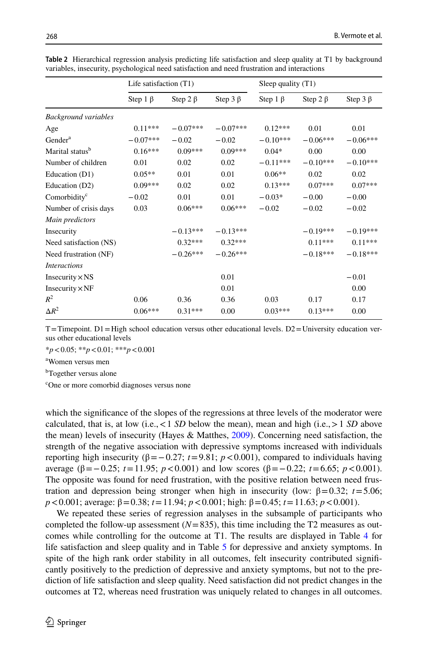|                             | Life satisfaction $(T1)$ |                |                | Sleep quality $(T1)$ |                |                |
|-----------------------------|--------------------------|----------------|----------------|----------------------|----------------|----------------|
|                             | Step $1 \beta$           | Step 2 $\beta$ | Step $3 \beta$ | Step $1 \beta$       | Step 2 $\beta$ | Step $3 \beta$ |
| <b>Background variables</b> |                          |                |                |                      |                |                |
| Age                         | $0.11***$                | $-0.07***$     | $-0.07***$     | $0.12***$            | 0.01           | 0.01           |
| Gender <sup>a</sup>         | $-0.07***$               | $-0.02$        | $-0.02$        | $-0.10***$           | $-0.06***$     | $-0.06***$     |
| Marital status <sup>b</sup> | $0.16***$                | $0.09***$      | $0.09***$      | $0.04*$              | 0.00           | 0.00           |
| Number of children          | 0.01                     | 0.02           | 0.02           | $-0.11***$           | $-0.10***$     | $-0.10***$     |
| Education (D1)              | $0.05**$                 | 0.01           | 0.01           | $0.06**$             | 0.02           | 0.02           |
| Education (D2)              | $0.09***$                | 0.02           | 0.02           | $0.13***$            | $0.07***$      | $0.07***$      |
| Comorbidity <sup>c</sup>    | $-0.02$                  | 0.01           | 0.01           | $-0.03*$             | $-0.00$        | $-0.00$        |
| Number of crisis days       | 0.03                     | $0.06***$      | $0.06***$      | $-0.02$              | $-0.02$        | $-0.02$        |
| Main predictors             |                          |                |                |                      |                |                |
| Insecurity                  |                          | $-0.13***$     | $-0.13***$     |                      | $-0.19***$     | $-0.19***$     |
| Need satisfaction (NS)      |                          | $0.32***$      | $0.32***$      |                      | $0.11***$      | $0.11***$      |
| Need frustration (NF)       |                          | $-0.26***$     | $-0.26***$     |                      | $-0.18***$     | $-0.18***$     |
| <i>Interactions</i>         |                          |                |                |                      |                |                |
| Insecurity $\times$ NS      |                          |                | 0.01           |                      |                | $-0.01$        |
| Insecurity $\times$ NF      |                          |                | 0.01           |                      |                | 0.00           |
| $R^2$                       | 0.06                     | 0.36           | 0.36           | 0.03                 | 0.17           | 0.17           |
| $\Delta R^2$                | $0.06***$                | $0.31***$      | 0.00           | $0.03***$            | $0.13***$      | 0.00           |

<span id="page-11-0"></span>**Table 2** Hierarchical regression analysis predicting life satisfaction and sleep quality at T1 by background variables, insecurity, psychological need satisfaction and need frustration and interactions

 $T$ =Timepoint. D1 = High school education versus other educational levels. D2 = University education versus other educational levels

\**p*<0.05; \*\**p*<0.01; \*\*\**p*<0.001

a Women versus men

<sup>b</sup>Together versus alone

c One or more comorbid diagnoses versus none

which the signifcance of the slopes of the regressions at three levels of the moderator were calculated, that is, at low (i.e.,  $\lt 1$  *SD* below the mean), mean and high (i.e.,  $> 1$  *SD* above the mean) levels of insecurity (Hayes & Matthes, [2009\)](#page-23-15). Concerning need satisfaction, the strength of the negative association with depressive symptoms increased with individuals reporting high insecurity ( $β = 0.27$ ;  $t = 9.81$ ;  $p < 0.001$ ), compared to individuals having average ( $\beta = -0.25$ ;  $t = 11.95$ ;  $p < 0.001$ ) and low scores ( $\beta = -0.22$ ;  $t = 6.65$ ;  $p < 0.001$ ). The opposite was found for need frustration, with the positive relation between need frustration and depression being stronger when high in insecurity (low:  $β = 0.32$ ;  $t = 5.06$ ; *p*<0.001; average: β=0.38; *t*=11.94; *p*<0.001; high: β=0.45; *t*=11.63; *p*<0.001).

We repeated these series of regression analyses in the subsample of participants who completed the follow-up assessment  $(N=835)$ , this time including the T2 measures as outcomes while controlling for the outcome at T1. The results are displayed in Table [4](#page-13-0) for life satisfaction and sleep quality and in Table [5](#page-14-0) for depressive and anxiety symptoms. In spite of the high rank order stability in all outcomes, felt insecurity contributed signifcantly positively to the prediction of depressive and anxiety symptoms, but not to the prediction of life satisfaction and sleep quality. Need satisfaction did not predict changes in the outcomes at T2, whereas need frustration was uniquely related to changes in all outcomes.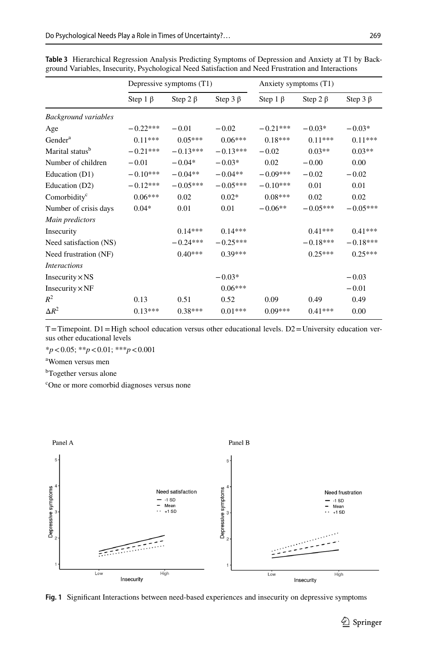|                             |                | Depressive symptoms (T1) |                |                | Anxiety symptoms (T1) |                |
|-----------------------------|----------------|--------------------------|----------------|----------------|-----------------------|----------------|
|                             | Step $1 \beta$ | Step 2 $\beta$           | Step 3 $\beta$ | Step $1 \beta$ | Step 2 $\beta$        | Step $3 \beta$ |
| <b>Background variables</b> |                |                          |                |                |                       |                |
| Age                         | $-0.22***$     | $-0.01$                  | $-0.02$        | $-0.21***$     | $-0.03*$              | $-0.03*$       |
| Gender <sup>a</sup>         | $0.11***$      | $0.05***$                | $0.06***$      | $0.18***$      | $0.11***$             | $0.11***$      |
| Marital status <sup>b</sup> | $-0.21***$     | $-0.13***$               | $-0.13***$     | $-0.02$        | $0.03**$              | $0.03**$       |
| Number of children          | $-0.01$        | $-0.04*$                 | $-0.03*$       | 0.02           | $-0.00$               | 0.00           |
| Education (D1)              | $-0.10***$     | $-0.04**$                | $-0.04**$      | $-0.09***$     | $-0.02$               | $-0.02$        |
| Education (D2)              | $-0.12***$     | $-0.05***$               | $-0.05***$     | $-0.10***$     | 0.01                  | 0.01           |
| Comorbidity <sup>c</sup>    | $0.06***$      | 0.02                     | $0.02*$        | $0.08***$      | 0.02                  | 0.02           |
| Number of crisis days       | $0.04*$        | 0.01                     | 0.01           | $-0.06**$      | $-0.05***$            | $-0.05***$     |
| Main predictors             |                |                          |                |                |                       |                |
| Insecurity                  |                | $0.14***$                | $0.14***$      |                | $0.41***$             | $0.41***$      |
| Need satisfaction (NS)      |                | $-0.24***$               | $-0.25***$     |                | $-0.18***$            | $-0.18***$     |
| Need frustration (NF)       |                | $0.40***$                | $0.39***$      |                | $0.25***$             | $0.25***$      |
| <i>Interactions</i>         |                |                          |                |                |                       |                |
| Insecurity $\times$ NS      |                |                          | $-0.03*$       |                |                       | $-0.03$        |
| Insecurity $\times$ NF      |                |                          | $0.06***$      |                |                       | $-0.01$        |
| $R^2$                       | 0.13           | 0.51                     | 0.52           | 0.09           | 0.49                  | 0.49           |
| $\Delta R^2$                | $0.13***$      | $0.38***$                | $0.01***$      | $0.09***$      | $0.41***$             | 0.00           |

<span id="page-12-0"></span>**Table 3** Hierarchical Regression Analysis Predicting Symptoms of Depression and Anxiety at T1 by Background Variables, Insecurity, Psychological Need Satisfaction and Need Frustration and Interactions

 $T$ =Timepoint. D1 = High school education versus other educational levels. D2 = University education versus other educational levels

\**p*<0.05; \*\**p*<0.01; \*\*\**p*<0.001

a Women versus men

<sup>b</sup>Together versus alone

c One or more comorbid diagnoses versus none



<span id="page-12-1"></span>**Fig. 1** Signifcant Interactions between need-based experiences and insecurity on depressive symptoms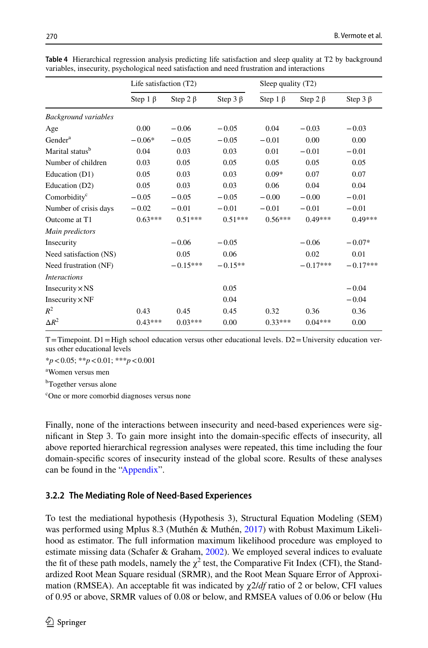|                             | Life satisfaction $(T2)$ |                |                | Sleep quality $(T2)$ |                |                |
|-----------------------------|--------------------------|----------------|----------------|----------------------|----------------|----------------|
|                             | Step 1 $\beta$           | Step 2 $\beta$ | Step $3 \beta$ | Step $1 \beta$       | Step 2 $\beta$ | Step $3 \beta$ |
| <b>Background variables</b> |                          |                |                |                      |                |                |
| Age                         | 0.00                     | $-0.06$        | $-0.05$        | 0.04                 | $-0.03$        | $-0.03$        |
| Gender <sup>a</sup>         | $-0.06*$                 | $-0.05$        | $-0.05$        | $-0.01$              | 0.00           | 0.00           |
| Marital status <sup>b</sup> | 0.04                     | 0.03           | 0.03           | 0.01                 | $-0.01$        | $-0.01$        |
| Number of children          | 0.03                     | 0.05           | 0.05           | 0.05                 | 0.05           | 0.05           |
| Education (D1)              | 0.05                     | 0.03           | 0.03           | $0.09*$              | 0.07           | 0.07           |
| Education (D2)              | 0.05                     | 0.03           | 0.03           | 0.06                 | 0.04           | 0.04           |
| Comorbidity <sup>c</sup>    | $-0.05$                  | $-0.05$        | $-0.05$        | $-0.00$              | $-0.00$        | $-0.01$        |
| Number of crisis days       | $-0.02$                  | $-0.01$        | $-0.01$        | $-0.01$              | $-0.01$        | $-0.01$        |
| Outcome at T1               | $0.63***$                | $0.51***$      | $0.51***$      | $0.56***$            | $0.49***$      | $0.49***$      |
| Main predictors             |                          |                |                |                      |                |                |
| Insecurity                  |                          | $-0.06$        | $-0.05$        |                      | $-0.06$        | $-0.07*$       |
| Need satisfaction (NS)      |                          | 0.05           | 0.06           |                      | 0.02           | 0.01           |
| Need frustration (NF)       |                          | $-0.15***$     | $-0.15**$      |                      | $-0.17***$     | $-0.17***$     |
| <i>Interactions</i>         |                          |                |                |                      |                |                |
| Insecurity $\times$ NS      |                          |                | 0.05           |                      |                | $-0.04$        |
| Insecurity $\times$ NF      |                          |                | 0.04           |                      |                | $-0.04$        |
| $R^2$                       | 0.43                     | 0.45           | 0.45           | 0.32                 | 0.36           | 0.36           |
| $\Delta R^2$                | $0.43***$                | $0.03***$      | 0.00           | $0.33***$            | $0.04***$      | 0.00           |

<span id="page-13-0"></span>**Table 4** Hierarchical regression analysis predicting life satisfaction and sleep quality at T2 by background variables, insecurity, psychological need satisfaction and need frustration and interactions

 $T=T$ imepoint. D1=High school education versus other educational levels. D2=University education versus other educational levels

\**p*<0.05; \*\**p*<0.01; \*\*\**p*<0.001

a Women versus men

b Together versus alone

c One or more comorbid diagnoses versus none

Finally, none of the interactions between insecurity and need-based experiences were signifcant in Step 3. To gain more insight into the domain-specifc efects of insecurity, all above reported hierarchical regression analyses were repeated, this time including the four domain-specifc scores of insecurity instead of the global score. Results of these analyses can be found in the ["Appendix"](#page-20-0).

## **3.2.2 The Mediating Role of Need‑Based Experiences**

To test the mediational hypothesis (Hypothesis 3), Structural Equation Modeling (SEM) was performed using Mplus 8.3 (Muthén & Muthén, [2017\)](#page-24-14) with Robust Maximum Likelihood as estimator. The full information maximum likelihood procedure was employed to estimate missing data (Schafer & Graham, [2002](#page-25-17)). We employed several indices to evaluate the fit of these path models, namely the  $\chi^2$  test, the Comparative Fit Index (CFI), the Standardized Root Mean Square residual (SRMR), and the Root Mean Square Error of Approximation (RMSEA). An acceptable ft was indicated by χ2/*df* ratio of 2 or below, CFI values of 0.95 or above, SRMR values of 0.08 or below, and RMSEA values of 0.06 or below (Hu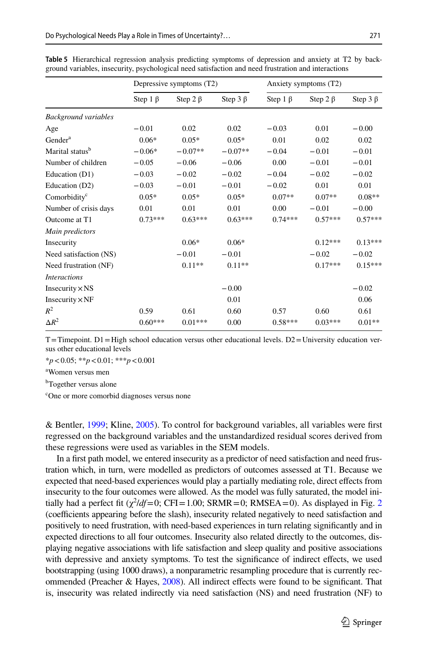|                             |                | Depressive symptoms (T2) |                |                | Anxiety symptoms (T2) |                |
|-----------------------------|----------------|--------------------------|----------------|----------------|-----------------------|----------------|
|                             | Step $1 \beta$ | Step 2 $\beta$           | Step $3 \beta$ | Step $1 \beta$ | Step 2 $\beta$        | Step $3 \beta$ |
| <b>Background variables</b> |                |                          |                |                |                       |                |
| Age                         | $-0.01$        | 0.02                     | 0.02           | $-0.03$        | 0.01                  | $-0.00$        |
| Gender <sup>a</sup>         | $0.06*$        | $0.05*$                  | $0.05*$        | 0.01           | 0.02                  | 0.02           |
| Marital status <sup>b</sup> | $-0.06*$       | $-0.07**$                | $-0.07**$      | $-0.04$        | $-0.01$               | $-0.01$        |
| Number of children          | $-0.05$        | $-0.06$                  | $-0.06$        | 0.00           | $-0.01$               | $-0.01$        |
| Education (D1)              | $-0.03$        | $-0.02$                  | $-0.02$        | $-0.04$        | $-0.02$               | $-0.02$        |
| Education (D2)              | $-0.03$        | $-0.01$                  | $-0.01$        | $-0.02$        | 0.01                  | 0.01           |
| Comorbidity <sup>c</sup>    | $0.05*$        | $0.05*$                  | $0.05*$        | $0.07**$       | $0.07**$              | $0.08**$       |
| Number of crisis days       | 0.01           | 0.01                     | 0.01           | 0.00           | $-0.01$               | $-0.00$        |
| Outcome at T1               | $0.73***$      | $0.63***$                | $0.63***$      | $0.74***$      | $0.57***$             | $0.57***$      |
| Main predictors             |                |                          |                |                |                       |                |
| Insecurity                  |                | $0.06*$                  | $0.06*$        |                | $0.12***$             | $0.13***$      |
| Need satisfaction (NS)      |                | $-0.01$                  | $-0.01$        |                | $-0.02$               | $-0.02$        |
| Need frustration (NF)       |                | $0.11**$                 | $0.11**$       |                | $0.17***$             | $0.15***$      |
| <i>Interactions</i>         |                |                          |                |                |                       |                |
| Insecurity $\times$ NS      |                |                          | $-0.00$        |                |                       | $-0.02$        |
| Insecurity $\times$ NF      |                |                          | 0.01           |                |                       | 0.06           |
| $R^2$                       | 0.59           | 0.61                     | 0.60           | 0.57           | 0.60                  | 0.61           |
| $\Delta R^2$                | $0.60***$      | $0.01***$                | 0.00           | $0.58***$      | $0.03***$             | $0.01**$       |

<span id="page-14-0"></span>**Table 5** Hierarchical regression analysis predicting symptoms of depression and anxiety at T2 by background variables, insecurity, psychological need satisfaction and need frustration and interactions

 $T=T$ imepoint.  $D1=$ High school education versus other educational levels.  $D2=$ University education versus other educational levels

\**p*<0.05; \*\**p*<0.01; \*\*\**p*<0.001

a Women versus men

b Together versus alone

c One or more comorbid diagnoses versus none

& Bentler, [1999](#page-23-16); Kline, [2005](#page-24-15)). To control for background variables, all variables were frst regressed on the background variables and the unstandardized residual scores derived from these regressions were used as variables in the SEM models.

In a frst path model, we entered insecurity as a predictor of need satisfaction and need frustration which, in turn, were modelled as predictors of outcomes assessed at T1. Because we expected that need-based experiences would play a partially mediating role, direct efects from insecurity to the four outcomes were allowed. As the model was fully saturated, the model initially had a perfect fit  $(\chi^2/df=0)$  $(\chi^2/df=0)$  $(\chi^2/df=0)$ ; CFI = 1.00; SRMR = 0; RMSEA = 0). As displayed in Fig. 2 (coefficients appearing before the slash), insecurity related negatively to need satisfaction and positively to need frustration, with need-based experiences in turn relating signifcantly and in expected directions to all four outcomes. Insecurity also related directly to the outcomes, displaying negative associations with life satisfaction and sleep quality and positive associations with depressive and anxiety symptoms. To test the signifcance of indirect efects, we used bootstrapping (using 1000 draws), a nonparametric resampling procedure that is currently recommended (Preacher & Hayes, [2008](#page-24-16)). All indirect efects were found to be signifcant. That is, insecurity was related indirectly via need satisfaction (NS) and need frustration (NF) to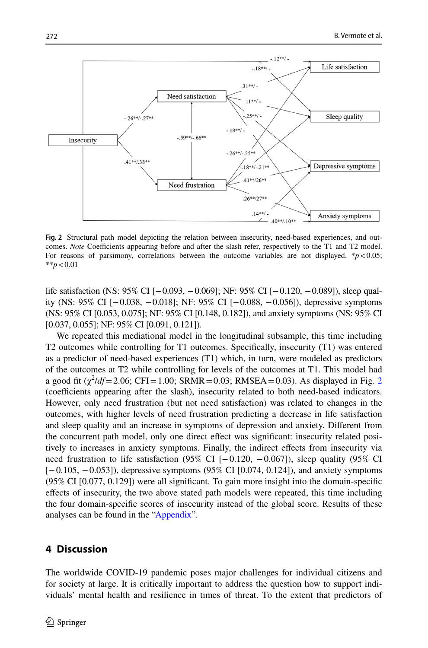

<span id="page-15-0"></span>**Fig. 2** Structural path model depicting the relation between insecurity, need-based experiences, and outcomes. *Note* Coefficients appearing before and after the slash refer, respectively to the T1 and T2 model. For reasons of parsimony, correlations between the outcome variables are not displayed.  $**p* < 0.05$ ; \*\**p*<0.01

life satisfaction (NS: 95% CI [−0.093, −0.069]; NF: 95% CI [−0.120, −0.089]), sleep quality (NS: 95% CI [−0.038, −0.018]; NF: 95% CI [−0.088, −0.056]), depressive symptoms (NS: 95% CI [0.053, 0.075]; NF: 95% CI [0.148, 0.182]), and anxiety symptoms (NS: 95% CI [0.037, 0.055]; NF: 95% CI [0.091, 0.121]).

We repeated this mediational model in the longitudinal subsample, this time including T2 outcomes while controlling for T1 outcomes. Specifcally, insecurity (T1) was entered as a predictor of need-based experiences (T1) which, in turn, were modeled as predictors of the outcomes at T2 while controlling for levels of the outcomes at T1. This model had a good fit  $(\chi^2/df = 2.06; CFI = 1.00; SRMR = 0.03; RMSEA = 0.03)$  $(\chi^2/df = 2.06; CFI = 1.00; SRMR = 0.03; RMSEA = 0.03)$  $(\chi^2/df = 2.06; CFI = 1.00; SRMR = 0.03; RMSEA = 0.03)$ . As displayed in Fig. 2 (coefficients appearing after the slash), insecurity related to both need-based indicators. However, only need frustration (but not need satisfaction) was related to changes in the outcomes, with higher levels of need frustration predicting a decrease in life satisfaction and sleep quality and an increase in symptoms of depression and anxiety. Diferent from the concurrent path model, only one direct efect was signifcant: insecurity related positively to increases in anxiety symptoms. Finally, the indirect efects from insecurity via need frustration to life satisfaction (95% CI [−0.120, −0.067]), sleep quality (95% CI [−0.105, −0.053]), depressive symptoms (95% CI [0.074, 0.124]), and anxiety symptoms (95% CI [0.077, 0.129]) were all signifcant. To gain more insight into the domain-specifc efects of insecurity, the two above stated path models were repeated, this time including the four domain-specifc scores of insecurity instead of the global score. Results of these analyses can be found in the ["Appendix"](#page-20-0).

# **4 Discussion**

The worldwide COVID-19 pandemic poses major challenges for individual citizens and for society at large. It is critically important to address the question how to support individuals' mental health and resilience in times of threat. To the extent that predictors of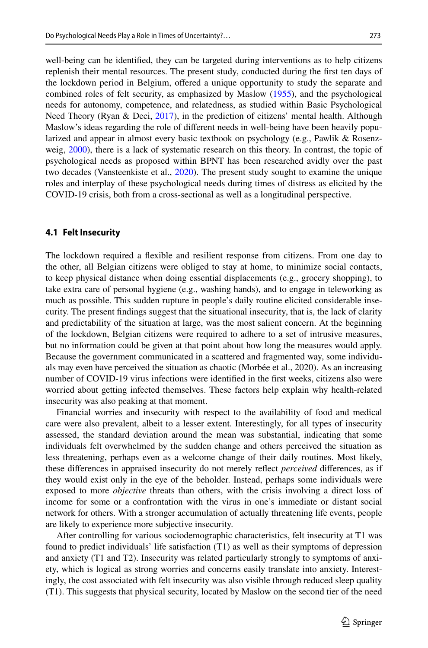well-being can be identifed, they can be targeted during interventions as to help citizens replenish their mental resources. The present study, conducted during the frst ten days of the lockdown period in Belgium, ofered a unique opportunity to study the separate and combined roles of felt security, as emphasized by Maslow [\(1955](#page-24-17)), and the psychological needs for autonomy, competence, and relatedness, as studied within Basic Psychological Need Theory (Ryan & Deci, [2017\)](#page-25-1), in the prediction of citizens' mental health. Although Maslow's ideas regarding the role of diferent needs in well-being have been heavily popularized and appear in almost every basic textbook on psychology (e.g., Pawlik & Rosenz-weig, [2000](#page-24-18)), there is a lack of systematic research on this theory. In contrast, the topic of psychological needs as proposed within BPNT has been researched avidly over the past two decades (Vansteenkiste et al., [2020\)](#page-25-2). The present study sought to examine the unique roles and interplay of these psychological needs during times of distress as elicited by the COVID-19 crisis, both from a cross-sectional as well as a longitudinal perspective.

#### **4.1 Felt Insecurity**

The lockdown required a fexible and resilient response from citizens. From one day to the other, all Belgian citizens were obliged to stay at home, to minimize social contacts, to keep physical distance when doing essential displacements (e.g., grocery shopping), to take extra care of personal hygiene (e.g., washing hands), and to engage in teleworking as much as possible. This sudden rupture in people's daily routine elicited considerable insecurity. The present fndings suggest that the situational insecurity, that is, the lack of clarity and predictability of the situation at large, was the most salient concern. At the beginning of the lockdown, Belgian citizens were required to adhere to a set of intrusive measures, but no information could be given at that point about how long the measures would apply. Because the government communicated in a scattered and fragmented way, some individuals may even have perceived the situation as chaotic (Morbée et al., 2020). As an increasing number of COVID-19 virus infections were identifed in the frst weeks, citizens also were worried about getting infected themselves. These factors help explain why health-related insecurity was also peaking at that moment.

Financial worries and insecurity with respect to the availability of food and medical care were also prevalent, albeit to a lesser extent. Interestingly, for all types of insecurity assessed, the standard deviation around the mean was substantial, indicating that some individuals felt overwhelmed by the sudden change and others perceived the situation as less threatening, perhaps even as a welcome change of their daily routines. Most likely, these diferences in appraised insecurity do not merely refect *perceived* diferences, as if they would exist only in the eye of the beholder. Instead, perhaps some individuals were exposed to more *objective* threats than others, with the crisis involving a direct loss of income for some or a confrontation with the virus in one's immediate or distant social network for others. With a stronger accumulation of actually threatening life events, people are likely to experience more subjective insecurity.

After controlling for various sociodemographic characteristics, felt insecurity at T1 was found to predict individuals' life satisfaction (T1) as well as their symptoms of depression and anxiety (T1 and T2). Insecurity was related particularly strongly to symptoms of anxiety, which is logical as strong worries and concerns easily translate into anxiety. Interestingly, the cost associated with felt insecurity was also visible through reduced sleep quality (T1). This suggests that physical security, located by Maslow on the second tier of the need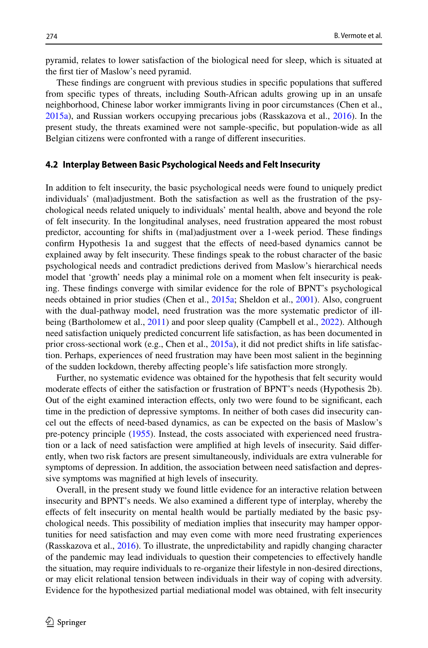pyramid, relates to lower satisfaction of the biological need for sleep, which is situated at the frst tier of Maslow's need pyramid.

These fndings are congruent with previous studies in specifc populations that sufered from specifc types of threats, including South-African adults growing up in an unsafe neighborhood, Chinese labor worker immigrants living in poor circumstances (Chen et al., [2015a\)](#page-23-11), and Russian workers occupying precarious jobs (Rasskazova et al., [2016](#page-24-8)). In the present study, the threats examined were not sample-specifc, but population-wide as all Belgian citizens were confronted with a range of diferent insecurities.

#### **4.2 Interplay Between Basic Psychological Needs and Felt Insecurity**

In addition to felt insecurity, the basic psychological needs were found to uniquely predict individuals' (mal)adjustment. Both the satisfaction as well as the frustration of the psychological needs related uniquely to individuals' mental health, above and beyond the role of felt insecurity. In the longitudinal analyses, need frustration appeared the most robust predictor, accounting for shifts in (mal)adjustment over a 1-week period. These fndings confrm Hypothesis 1a and suggest that the efects of need-based dynamics cannot be explained away by felt insecurity. These fndings speak to the robust character of the basic psychological needs and contradict predictions derived from Maslow's hierarchical needs model that 'growth' needs play a minimal role on a moment when felt insecurity is peaking. These fndings converge with similar evidence for the role of BPNT's psychological needs obtained in prior studies (Chen et al., [2015a;](#page-23-11) Sheldon et al., [2001\)](#page-25-13). Also, congruent with the dual-pathway model, need frustration was the more systematic predictor of ill-being (Bartholomew et al., [2011](#page-22-4)) and poor sleep quality (Campbell et al., [2022\)](#page-23-17). Although need satisfaction uniquely predicted concurrent life satisfaction, as has been documented in prior cross-sectional work (e.g., Chen et al., [2015a](#page-23-11)), it did not predict shifts in life satisfaction. Perhaps, experiences of need frustration may have been most salient in the beginning of the sudden lockdown, thereby afecting people's life satisfaction more strongly.

Further, no systematic evidence was obtained for the hypothesis that felt security would moderate efects of either the satisfaction or frustration of BPNT's needs (Hypothesis 2b). Out of the eight examined interaction efects, only two were found to be signifcant, each time in the prediction of depressive symptoms. In neither of both cases did insecurity cancel out the efects of need-based dynamics, as can be expected on the basis of Maslow's pre-potency principle [\(1955](#page-24-17)). Instead, the costs associated with experienced need frustration or a lack of need satisfaction were amplifed at high levels of insecurity. Said diferently, when two risk factors are present simultaneously, individuals are extra vulnerable for symptoms of depression. In addition, the association between need satisfaction and depressive symptoms was magnifed at high levels of insecurity.

Overall, in the present study we found little evidence for an interactive relation between insecurity and BPNT's needs. We also examined a diferent type of interplay, whereby the efects of felt insecurity on mental health would be partially mediated by the basic psychological needs. This possibility of mediation implies that insecurity may hamper opportunities for need satisfaction and may even come with more need frustrating experiences (Rasskazova et al., [2016](#page-24-8)). To illustrate, the unpredictability and rapidly changing character of the pandemic may lead individuals to question their competencies to efectively handle the situation, may require individuals to re-organize their lifestyle in non-desired directions, or may elicit relational tension between individuals in their way of coping with adversity. Evidence for the hypothesized partial mediational model was obtained, with felt insecurity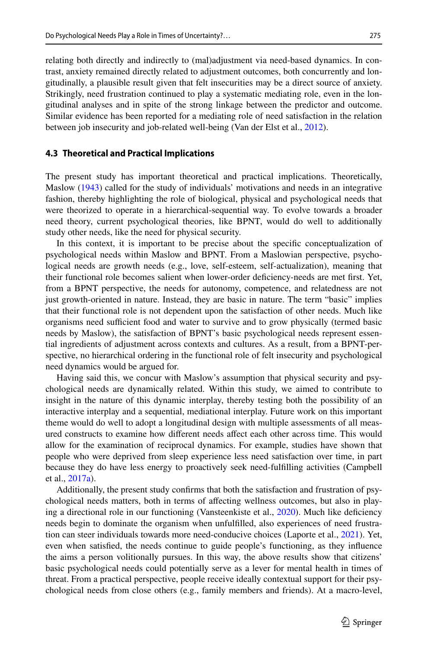relating both directly and indirectly to (mal)adjustment via need-based dynamics. In contrast, anxiety remained directly related to adjustment outcomes, both concurrently and longitudinally, a plausible result given that felt insecurities may be a direct source of anxiety. Strikingly, need frustration continued to play a systematic mediating role, even in the longitudinal analyses and in spite of the strong linkage between the predictor and outcome. Similar evidence has been reported for a mediating role of need satisfaction in the relation between job insecurity and job-related well-being (Van der Elst et al., [2012\)](#page-25-18).

## **4.3 Theoretical and Practical Implications**

The present study has important theoretical and practical implications. Theoretically, Maslow [\(1943](#page-24-6)) called for the study of individuals' motivations and needs in an integrative fashion, thereby highlighting the role of biological, physical and psychological needs that were theorized to operate in a hierarchical-sequential way. To evolve towards a broader need theory, current psychological theories, like BPNT, would do well to additionally study other needs, like the need for physical security.

In this context, it is important to be precise about the specifc conceptualization of psychological needs within Maslow and BPNT. From a Maslowian perspective, psychological needs are growth needs (e.g., love, self-esteem, self-actualization), meaning that their functional role becomes salient when lower-order defciency-needs are met frst. Yet, from a BPNT perspective, the needs for autonomy, competence, and relatedness are not just growth-oriented in nature. Instead, they are basic in nature. The term "basic" implies that their functional role is not dependent upon the satisfaction of other needs. Much like organisms need sufficient food and water to survive and to grow physically (termed basic needs by Maslow), the satisfaction of BPNT's basic psychological needs represent essential ingredients of adjustment across contexts and cultures. As a result, from a BPNT-perspective, no hierarchical ordering in the functional role of felt insecurity and psychological need dynamics would be argued for.

Having said this, we concur with Maslow's assumption that physical security and psychological needs are dynamically related. Within this study, we aimed to contribute to insight in the nature of this dynamic interplay, thereby testing both the possibility of an interactive interplay and a sequential, mediational interplay. Future work on this important theme would do well to adopt a longitudinal design with multiple assessments of all measured constructs to examine how diferent needs afect each other across time. This would allow for the examination of reciprocal dynamics. For example, studies have shown that people who were deprived from sleep experience less need satisfaction over time, in part because they do have less energy to proactively seek need-fulflling activities (Campbell et al., [2017a](#page-23-18)).

Additionally, the present study confrms that both the satisfaction and frustration of psychological needs matters, both in terms of afecting wellness outcomes, but also in playing a directional role in our functioning (Vansteenkiste et al., [2020](#page-25-2)). Much like defciency needs begin to dominate the organism when unfulflled, also experiences of need frustration can steer individuals towards more need-conducive choices (Laporte et al., [2021](#page-24-19)). Yet, even when satisfed, the needs continue to guide people's functioning, as they infuence the aims a person volitionally pursues. In this way, the above results show that citizens' basic psychological needs could potentially serve as a lever for mental health in times of threat. From a practical perspective, people receive ideally contextual support for their psychological needs from close others (e.g., family members and friends). At a macro-level,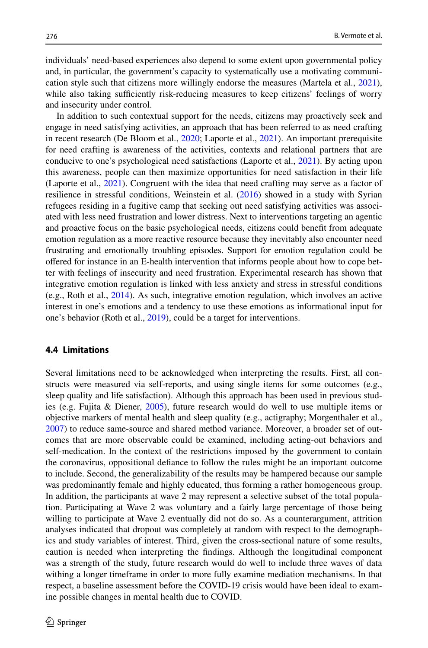individuals' need-based experiences also depend to some extent upon governmental policy and, in particular, the government's capacity to systematically use a motivating communication style such that citizens more willingly endorse the measures (Martela et al., [2021](#page-24-20)), while also taking sufficiently risk-reducing measures to keep citizens' feelings of worry and insecurity under control.

In addition to such contextual support for the needs, citizens may proactively seek and engage in need satisfying activities, an approach that has been referred to as need crafting in recent research (De Bloom et al., [2020](#page-23-19); Laporte et al., [2021\)](#page-24-19). An important prerequisite for need crafting is awareness of the activities, contexts and relational partners that are conducive to one's psychological need satisfactions (Laporte et al., [2021](#page-24-19)). By acting upon this awareness, people can then maximize opportunities for need satisfaction in their life (Laporte et al., [2021\)](#page-24-19). Congruent with the idea that need crafting may serve as a factor of resilience in stressful conditions, Weinstein et al. [\(2016](#page-25-19)) showed in a study with Syrian refugees residing in a fugitive camp that seeking out need satisfying activities was associated with less need frustration and lower distress. Next to interventions targeting an agentic and proactive focus on the basic psychological needs, citizens could beneft from adequate emotion regulation as a more reactive resource because they inevitably also encounter need frustrating and emotionally troubling episodes. Support for emotion regulation could be ofered for instance in an E-health intervention that informs people about how to cope better with feelings of insecurity and need frustration. Experimental research has shown that integrative emotion regulation is linked with less anxiety and stress in stressful conditions (e.g., Roth et al., [2014](#page-24-21)). As such, integrative emotion regulation, which involves an active interest in one's emotions and a tendency to use these emotions as informational input for one's behavior (Roth et al., [2019](#page-25-20)), could be a target for interventions.

#### **4.4 Limitations**

Several limitations need to be acknowledged when interpreting the results. First, all constructs were measured via self-reports, and using single items for some outcomes (e.g., sleep quality and life satisfaction). Although this approach has been used in previous studies (e.g. Fujita & Diener, [2005](#page-23-12)), future research would do well to use multiple items or objective markers of mental health and sleep quality (e.g., actigraphy; Morgenthaler et al., [2007\)](#page-24-22) to reduce same-source and shared method variance. Moreover, a broader set of outcomes that are more observable could be examined, including acting-out behaviors and self-medication. In the context of the restrictions imposed by the government to contain the coronavirus, oppositional defance to follow the rules might be an important outcome to include. Second, the generalizability of the results may be hampered because our sample was predominantly female and highly educated, thus forming a rather homogeneous group. In addition, the participants at wave 2 may represent a selective subset of the total population. Participating at Wave 2 was voluntary and a fairly large percentage of those being willing to participate at Wave 2 eventually did not do so. As a counterargument, attrition analyses indicated that dropout was completely at random with respect to the demographics and study variables of interest. Third, given the cross-sectional nature of some results, caution is needed when interpreting the fndings. Although the longitudinal component was a strength of the study, future research would do well to include three waves of data withing a longer timeframe in order to more fully examine mediation mechanisms. In that respect, a baseline assessment before the COVID-19 crisis would have been ideal to examine possible changes in mental health due to COVID.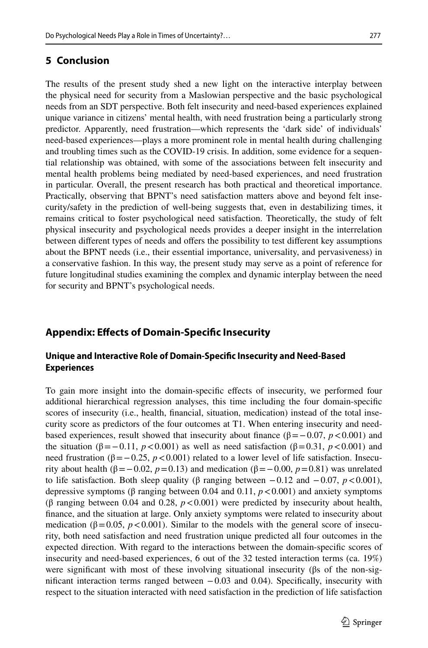The results of the present study shed a new light on the interactive interplay between the physical need for security from a Maslowian perspective and the basic psychological needs from an SDT perspective. Both felt insecurity and need-based experiences explained unique variance in citizens' mental health, with need frustration being a particularly strong predictor. Apparently, need frustration—which represents the 'dark side' of individuals' need-based experiences—plays a more prominent role in mental health during challenging and troubling times such as the COVID-19 crisis. In addition, some evidence for a sequential relationship was obtained, with some of the associations between felt insecurity and mental health problems being mediated by need-based experiences, and need frustration in particular. Overall, the present research has both practical and theoretical importance. Practically, observing that BPNT's need satisfaction matters above and beyond felt insecurity/safety in the prediction of well-being suggests that, even in destabilizing times, it remains critical to foster psychological need satisfaction. Theoretically, the study of felt physical insecurity and psychological needs provides a deeper insight in the interrelation between diferent types of needs and ofers the possibility to test diferent key assumptions about the BPNT needs (i.e., their essential importance, universality, and pervasiveness) in a conservative fashion. In this way, the present study may serve as a point of reference for future longitudinal studies examining the complex and dynamic interplay between the need for security and BPNT's psychological needs.

# <span id="page-20-0"></span>**Appendix: Efects of Domain‑Specifc Insecurity**

## **Unique and Interactive Role of Domain‑Specifc Insecurity and Need‑Based Experiences**

To gain more insight into the domain-specifc efects of insecurity, we performed four additional hierarchical regression analyses, this time including the four domain-specifc scores of insecurity (i.e., health, fnancial, situation, medication) instead of the total insecurity score as predictors of the four outcomes at T1. When entering insecurity and needbased experiences, result showed that insecurity about finance ( $β = -0.07$ ,  $p < 0.001$ ) and the situation ( $\beta = -0.11$ ,  $p < 0.001$ ) as well as need satisfaction ( $\beta = 0.31$ ,  $p < 0.001$ ) and need frustration ( $β = 0.25$ ,  $p < 0.001$ ) related to a lower level of life satisfaction. Insecurity about health (β = −0.02, *p* = 0.13) and medication (β = −0.00, *p* = 0.81) was unrelated to life satisfaction. Both sleep quality (β ranging between  $-0.12$  and  $-0.07$ ,  $p < 0.001$ ), depressive symptoms (β ranging between 0.04 and 0.11, *p*<0.001) and anxiety symptoms (β ranging between 0.04 and 0.28,  $p < 0.001$ ) were predicted by insecurity about health, fnance, and the situation at large. Only anxiety symptoms were related to insecurity about medication ( $\beta$ =0.05, *p*<0.001). Similar to the models with the general score of insecurity, both need satisfaction and need frustration unique predicted all four outcomes in the expected direction. With regard to the interactions between the domain-specifc scores of insecurity and need-based experiences, 6 out of the 32 tested interaction terms (ca. 19%) were significant with most of these involving situational insecurity ( $\beta s$  of the non-significant interaction terms ranged between −0.03 and 0.04). Specifically, insecurity with respect to the situation interacted with need satisfaction in the prediction of life satisfaction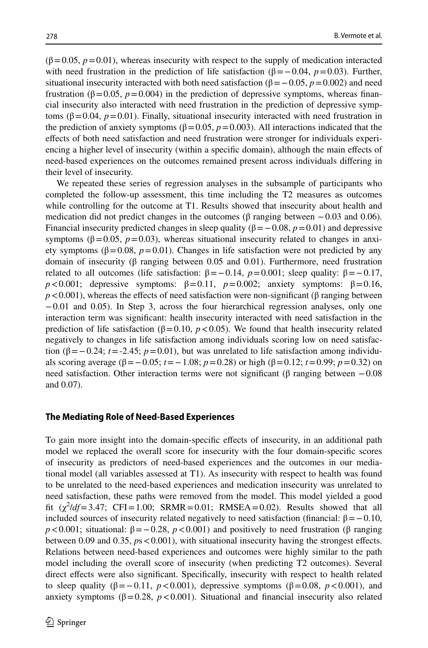$(\beta=0.05, p=0.01)$ , whereas insecurity with respect to the supply of medication interacted with need frustration in the prediction of life satisfaction  $(\beta = -0.04, p = 0.03)$ . Further, situational insecurity interacted with both need satisfaction ( $\beta$ = $-0.05$ , *p*=0.002) and need frustration (β=0.05, *p*=0.004) in the prediction of depressive symptoms, whereas fnancial insecurity also interacted with need frustration in the prediction of depressive symptoms (β=0.04,  $p=0.01$ ). Finally, situational insecurity interacted with need frustration in the prediction of anxiety symptoms ( $\beta$ =0.05, *p*=0.003). All interactions indicated that the efects of both need satisfaction and need frustration were stronger for individuals experiencing a higher level of insecurity (within a specifc domain), although the main efects of need-based experiences on the outcomes remained present across individuals difering in their level of insecurity.

We repeated these series of regression analyses in the subsample of participants who completed the follow-up assessment, this time including the T2 measures as outcomes while controlling for the outcome at T1. Results showed that insecurity about health and medication did not predict changes in the outcomes ( $\beta$  ranging between  $-0.03$  and 0.06). Financial insecurity predicted changes in sleep quality ( $\beta = -0.08$ ,  $p = 0.01$ ) and depressive symptoms ( $\beta$ =0.05,  $p$ =0.03), whereas situational insecurity related to changes in anxiety symptoms ( $β = 0.08$ ,  $p = 0.01$ ). Changes in life satisfaction were not predicted by any domain of insecurity (β ranging between 0.05 and 0.01). Furthermore, need frustration related to all outcomes (life satisfaction:  $β = -0.14$ ,  $p = 0.001$ ; sleep quality:  $β = -0.17$ , *p*<0.001; depressive symptoms:  $β=0.11$ ,  $p=0.002$ ; anxiety symptoms:  $β=0.16$ ,  $p < 0.001$ ), whereas the effects of need satisfaction were non-significant (β ranging between −0.01 and 0.05). In Step 3, across the four hierarchical regression analyses, only one interaction term was signifcant: health insecurity interacted with need satisfaction in the prediction of life satisfaction ( $\beta$ =0.10, *p* <0.05). We found that health insecurity related negatively to changes in life satisfaction among individuals scoring low on need satisfaction ( $\beta = -0.24$ ; *t*=-2.45; *p*=0.01), but was unrelated to life satisfaction among individuals scoring average (β=−0.05; *t* =−1.08; *p*=0.28) or high (β=0.12; *t*=0.99; *p*=0.32) on need satisfaction. Other interaction terms were not significant (β ranging between  $-0.08$ and 0.07).

#### **The Mediating Role of Need‑Based Experiences**

To gain more insight into the domain-specific effects of insecurity, in an additional path model we replaced the overall score for insecurity with the four domain-specifc scores of insecurity as predictors of need-based experiences and the outcomes in our mediational model (all variables assessed at T1). As insecurity with respect to health was found to be unrelated to the need-based experiences and medication insecurity was unrelated to need satisfaction, these paths were removed from the model. This model yielded a good fit  $(\chi^2/df = 3.47; CFI = 1.00; SRMR = 0.01; RMSEA = 0.02)$ . Results showed that all included sources of insecurity related negatively to need satisfaction (financial:  $β = 0.10$ , *p*<0.001; situational:  $β = 0.28$ ,  $p < 0.001$ ) and positively to need frustration (β ranging between 0.09 and 0.35,  $ps < 0.001$ ), with situational insecurity having the strongest effects. Relations between need-based experiences and outcomes were highly similar to the path model including the overall score of insecurity (when predicting T2 outcomes). Several direct efects were also signifcant. Specifcally, insecurity with respect to health related to sleep quality ( $\beta = -0.11$ ,  $p < 0.001$ ), depressive symptoms ( $\beta = 0.08$ ,  $p < 0.001$ ), and anxiety symptoms ( $\beta$ =0.28,  $p$  <0.001). Situational and financial insecurity also related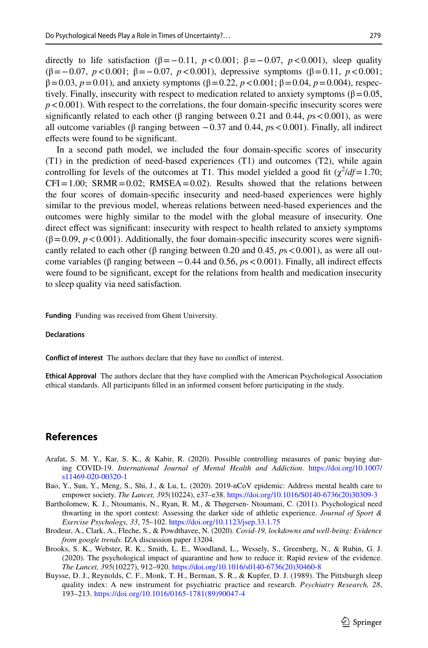directly to life satisfaction ( $\beta$ =−0.11, *p*<0.001;  $\beta$ =−0.07, *p*<0.001), sleep quality (β=−0.07, *p*<0.001; β=−0.07, *p*<0.001), depressive symptoms (β=0.11, *p*<0.001;  $β=0.03, p=0.01$ ), and anxiety symptoms ( $β=0.22, p<0.001; β=0.04, p=0.004$ ), respectively. Finally, insecurity with respect to medication related to anxiety symptoms ( $\beta$ =0.05,  $p < 0.001$ ). With respect to the correlations, the four domain-specific insecurity scores were significantly related to each other ( $\beta$  ranging between 0.21 and 0.44,  $p_s < 0.001$ ), as were all outcome variables ( $\beta$  ranging between  $-0.37$  and 0.44,  $p_s < 0.001$ ). Finally, all indirect efects were found to be signifcant.

In a second path model, we included the four domain-specifc scores of insecurity (T1) in the prediction of need-based experiences (T1) and outcomes (T2), while again controlling for levels of the outcomes at T1. This model yielded a good fit  $(\chi^2/df = 1.70)$ ;  $CFI = 1.00$ ;  $SRMR = 0.02$ ;  $RMSEA = 0.02$ ). Results showed that the relations between the four scores of domain-specifc insecurity and need-based experiences were highly similar to the previous model, whereas relations between need-based experiences and the outcomes were highly similar to the model with the global measure of insecurity. One direct efect was signifcant: insecurity with respect to health related to anxiety symptoms  $(\beta=0.09, p<0.001)$ . Additionally, the four domain-specific insecurity scores were significantly related to each other ( $\beta$  ranging between 0.20 and 0.45,  $p_s < 0.001$ ), as were all outcome variables (β ranging between −0.44 and 0.56, *p*s<0.001). Finally, all indirect efects were found to be signifcant, except for the relations from health and medication insecurity to sleep quality via need satisfaction.

**Funding** Funding was received from Ghent University.

#### **Declarations**

**Confict of interest** The authors declare that they have no confict of interest.

**Ethical Approval** The authors declare that they have complied with the American Psychological Association ethical standards. All participants flled in an informed consent before participating in the study.

# **References**

- <span id="page-22-3"></span>Arafat, S. M. Y., Kar, S. K., & Kabir, R. (2020). Possible controlling measures of panic buying during COVID-19. *International Journal of Mental Health and Addiction*. [https://doi.org/10.1007/](https://doi.org/10.1007/s11469-020-00320-1) [s11469-020-00320-1](https://doi.org/10.1007/s11469-020-00320-1)
- <span id="page-22-2"></span>Bao, Y., Sun, Y., Meng, S., Shi, J., & Lu, L. (2020). 2019-nCoV epidemic: Address mental health care to empower society. *The Lancet, 395*(10224), e37–e38. [https://doi.org/10.1016/S0140-6736\(20\)30309-3](https://doi.org/10.1016/S0140-6736(20)30309-3)
- <span id="page-22-4"></span>Bartholomew, K. J., Ntoumanis, N., Ryan, R. M., & Thøgersen- Ntoumani, C. (2011). Psychological need thwarting in the sport context: Assessing the darker side of athletic experience. *Journal of Sport & Exercise Psychology, 33*, 75–102. <https://doi.org/10.1123/jsep.33.1.75>
- <span id="page-22-1"></span>Brodeur, A., Clark, A., Fleche, S., & Powdthavee, N. (2020). *Covid-19, lockdowns and well-being: Evidence from google trends*. IZA discussion paper 13204.
- <span id="page-22-0"></span>Brooks, S. K., Webster, R. K., Smith, L. E., Woodland, L., Wessely, S., Greenberg, N., & Rubin, G. J. (2020). The psychological impact of quarantine and how to reduce it: Rapid review of the evidence. *The Lancet, 395*(10227), 912–920. [https://doi.org/10.1016/s0140-6736\(20\)30460-8](https://doi.org/10.1016/s0140-6736(20)30460-8)
- <span id="page-22-5"></span>Buysse, D. J., Reynolds, C. F., Monk, T. H., Berman, S. R., & Kupfer, D. J. (1989). The Pittsburgh sleep quality index: A new instrument for psychiatric practice and research. *Psychiatry Research, 28*, 193–213. [https://doi.org/10.1016/0165-1781\(89\)90047-4](https://doi.org/10.1016/0165-1781(89)90047-4)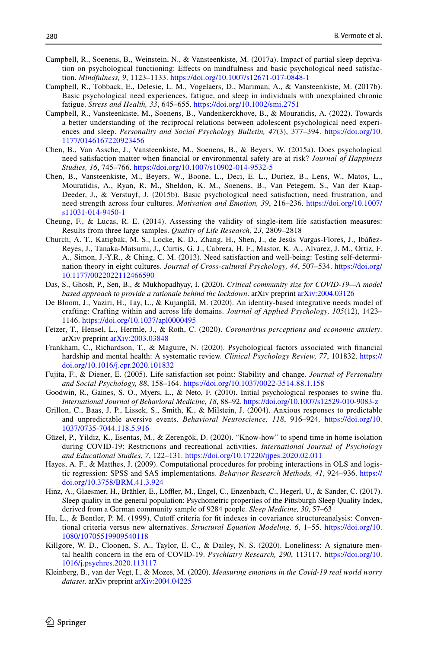- <span id="page-23-18"></span>Campbell, R., Soenens, B., Weinstein, N., & Vansteenkiste, M. (2017a). Impact of partial sleep deprivation on psychological functioning: Efects on mindfulness and basic psychological need satisfaction. *Mindfulness, 9*, 1123–1133. <https://doi.org/10.1007/s12671-017-0848-1>
- <span id="page-23-5"></span>Campbell, R., Tobback, E., Delesie, L. M., Vogelaers, D., Mariman, A., & Vansteenkiste, M. (2017b). Basic psychological need experiences, fatigue, and sleep in individuals with unexplained chronic fatigue. *Stress and Health, 33*, 645–655. <https://doi.org/10.1002/smi.2751>
- <span id="page-23-17"></span>Campbell, R., Vansteenkiste, M., Soenens, B., Vandenkerckhove, B., & Mouratidis, A. (2022). Towards a better understanding of the reciprocal relations between adolescent psychological need experiences and sleep. *Personality and Social Psychology Bulletin, 47*(3), 377–394. [https://doi.org/10.](https://doi.org/10.1177/0146167220923456) [1177/0146167220923456](https://doi.org/10.1177/0146167220923456)
- <span id="page-23-11"></span>Chen, B., Van Assche, J., Vansteenkiste, M., Soenens, B., & Beyers, W. (2015a). Does psychological need satisfaction matter when fnancial or environmental safety are at risk? *Journal of Happiness Studies, 16*, 745–766.<https://doi.org/10.1007/s10902-014-9532-5>
- <span id="page-23-6"></span>Chen, B., Vansteenkiste, M., Beyers, W., Boone, L., Deci, E. L., Duriez, B., Lens, W., Matos, L., Mouratidis, A., Ryan, R. M., Sheldon, K. M., Soenens, B., Van Petegem, S., Van der Kaap-Deeder, J., & Verstuyf, J. (2015b). Basic psychological need satisfaction, need frustration, and need strength across four cultures. *Motivation and Emotion, 39*, 216–236. [https://doi.org/10.1007/](https://doi.org/10.1007/s11031-014-9450-1) [s11031-014-9450-1](https://doi.org/10.1007/s11031-014-9450-1)
- <span id="page-23-13"></span>Cheung, F., & Lucas, R. E. (2014). Assessing the validity of single-item life satisfaction measures: Results from three large samples. *Quality of Life Research, 23*, 2809–2818
- <span id="page-23-7"></span>Church, A. T., Katigbak, M. S., Locke, K. D., Zhang, H., Shen, J., de Jesús Vargas-Flores, J., Ibáñez-Reyes, J., Tanaka-Matsumi, J., Curtis, G. J., Cabrera, H. F., Mastor, K. A., Alvarez, J. M., Ortiz, F. A., Simon, J.-Y.R., & Ching, C. M. (2013). Need satisfaction and well-being: Testing self-determination theory in eight cultures. *Journal of Cross-cultural Psychology, 44*, 507–534. [https://doi.org/](https://doi.org/10.1177/0022022112466590) [10.1177/0022022112466590](https://doi.org/10.1177/0022022112466590)
- <span id="page-23-0"></span>Das, S., Ghosh, P., Sen, B., & Mukhopadhyay, I. (2020). *Critical community size for COVID-19—A model based approach to provide a rationale behind the lockdown*. arXiv preprint [arXiv:2004.03126](http://arxiv.org/arXiv:2004.03126)
- <span id="page-23-19"></span>De Bloom, J., Vaziri, H., Tay, L., & Kujanpää, M. (2020). An identity-based integrative needs model of crafting: Crafting within and across life domains. *Journal of Applied Psychology, 105*(12), 1423– 1146.<https://doi.org/10.1037/apl0000495>
- <span id="page-23-2"></span>Fetzer, T., Hensel, L., Hermle, J., & Roth, C. (2020). *Coronavirus perceptions and economic anxiety*. arXiv preprint [arXiv:2003.03848](http://arxiv.org/arXiv:2003.03848)
- <span id="page-23-8"></span>Frankham, C., Richardson, T., & Maguire, N. (2020). Psychological factors associated with fnancial hardship and mental health: A systematic review. *Clinical Psychology Review, 77*, 101832. [https://](https://doi.org/10.1016/j.cpr.2020.101832) [doi.org/10.1016/j.cpr.2020.101832](https://doi.org/10.1016/j.cpr.2020.101832)
- <span id="page-23-12"></span>Fujita, F., & Diener, E. (2005). Life satisfaction set point: Stability and change. *Journal of Personality and Social Psychology, 88*, 158–164.<https://doi.org/10.1037/0022-3514.88.1.158>
- <span id="page-23-10"></span>Goodwin, R., Gaines, S. O., Myers, L., & Neto, F. (2010). Initial psychological responses to swine fu. *International Journal of Behavioral Medicine, 18*, 88–92.<https://doi.org/10.1007/s12529-010-9083-z>
- <span id="page-23-9"></span>Grillon, C., Baas, J. P., Lissek, S., Smith, K., & Milstein, J. (2004). Anxious responses to predictable and unpredictable aversive events. *Behavioral Neuroscience, 118*, 916–924. [https://doi.org/10.](https://doi.org/10.1037/0735-7044.118.5.916) [1037/0735-7044.118.5.916](https://doi.org/10.1037/0735-7044.118.5.916)
- <span id="page-23-4"></span>Güzel, P., Yildiz, K., Esentas, M., & Zerengök, D. (2020). "Know-how" to spend time in home isolation during COVID-19: Restrictions and recreational activities. *International Journal of Psychology and Educational Studies, 7*, 122–131.<https://doi.org/10.17220/ijpes.2020.02.011>
- <span id="page-23-15"></span>Hayes, A. F., & Matthes, J. (2009). Computational procedures for probing interactions in OLS and logistic regression: SPSS and SAS implementations. *Behavior Research Methods, 41*, 924–936. [https://](https://doi.org/10.3758/BRM.41.3.924) [doi.org/10.3758/BRM.41.3.924](https://doi.org/10.3758/BRM.41.3.924)
- <span id="page-23-14"></span>Hinz, A., Glaesmer, H., Brähler, E., Löffler, M., Engel, C., Enzenbach, C., Hegerl, U., & Sander, C. (2017). Sleep quality in the general population: Psychometric properties of the Pittsburgh Sleep Quality Index, derived from a German community sample of 9284 people. *Sleep Medicine, 30*, 57–63
- <span id="page-23-16"></span>Hu, L., & Bentler, P. M. (1999). Cutoff criteria for fit indexes in covariance structureanalysis: Conventional criteria versus new alternatives. *Structural Equation Modeling, 6*, 1–55. [https://doi.org/10.](https://doi.org/10.1080/10705519909540118) [1080/10705519909540118](https://doi.org/10.1080/10705519909540118)
- <span id="page-23-1"></span>Killgore, W. D., Cloonen, S. A., Taylor, E. C., & Dailey, N. S. (2020). Loneliness: A signature mental health concern in the era of COVID-19. *Psychiatry Research, 290*, 113117. [https://doi.org/10.](https://doi.org/10.1016/j.psychres.2020.113117) [1016/j.psychres.2020.113117](https://doi.org/10.1016/j.psychres.2020.113117)
- <span id="page-23-3"></span>Kleinberg, B., van der Vegt, I., & Mozes, M. (2020). *Measuring emotions in the Covid-19 real world worry dataset*. arXiv preprint [arXiv:2004.04225](http://arxiv.org/arXiv:2004.04225)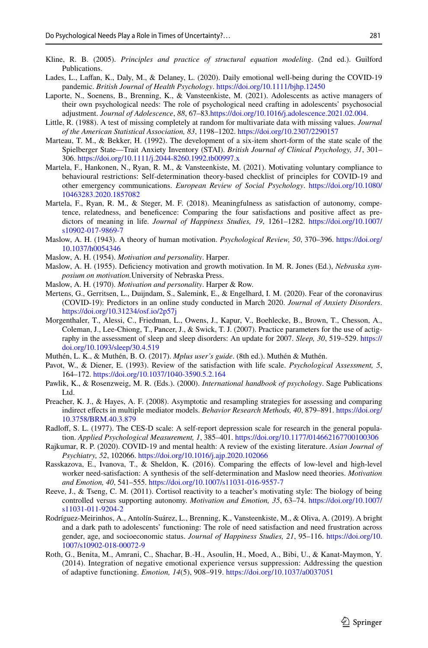- <span id="page-24-15"></span>Kline, R. B. (2005). *Principles and practice of structural equation modeling*. (2nd ed.). Guilford Publications.
- <span id="page-24-2"></span>Lades, L., Lafan, K., Daly, M., & Delaney, L. (2020). Daily emotional well-being during the COVID-19 pandemic. *British Journal of Health Psychology*.<https://doi.org/10.1111/bjhp.12450>
- <span id="page-24-19"></span>Laporte, N., Soenens, B., Brenning, K., & Vansteenkiste, M. (2021). Adolescents as active managers of their own psychological needs: The role of psychological need crafting in adolescents' psychosocial adjustment. *Journal of Adolescence*, *88*, 67–83[.https://doi.org/10.1016/j.adolescence.2021.02.004](https://doi.org/10.1016/j.adolescence.2021.02.004).
- <span id="page-24-10"></span>Little, R. (1988). A test of missing completely at random for multivariate data with missing values. *Journal of the American Statistical Association, 83*, 1198–1202.<https://doi.org/10.2307/2290157>
- <span id="page-24-13"></span>Marteau, T. M., & Bekker, H. (1992). The development of a six-item short-form of the state scale of the Spielberger State—Trait Anxiety Inventory (STAI). *British Journal of Clinical Psychology, 31*, 301– 306. <https://doi.org/10.1111/j.2044-8260.1992.tb00997.x>
- <span id="page-24-20"></span>Martela, F., Hankonen, N., Ryan, R. M., & Vansteenkiste, M. (2021). Motivating voluntary compliance to behavioural restrictions: Self-determination theory-based checklist of principles for COVID-19 and other emergency communications. *European Review of Social Psychology*. [https://doi.org/10.1080/](https://doi.org/10.1080/10463283.2020.1857082) [10463283.2020.1857082](https://doi.org/10.1080/10463283.2020.1857082)
- <span id="page-24-3"></span>Martela, F., Ryan, R. M., & Steger, M. F. (2018). Meaningfulness as satisfaction of autonomy, competence, relatedness, and benefcence: Comparing the four satisfactions and positive afect as predictors of meaning in life. *Journal of Happiness Studies, 19*, 1261–1282. [https://doi.org/10.1007/](https://doi.org/10.1007/s10902-017-9869-7) [s10902-017-9869-7](https://doi.org/10.1007/s10902-017-9869-7)
- <span id="page-24-6"></span>Maslow, A. H. (1943). A theory of human motivation. *Psychological Review, 50*, 370–396. [https://doi.org/](https://doi.org/10.1037/h0054346) [10.1037/h0054346](https://doi.org/10.1037/h0054346)
- <span id="page-24-1"></span>Maslow, A. H. (1954). *Motivation and personality*. Harper.
- <span id="page-24-17"></span>Maslow, A. H. (1955). Defciency motivation and growth motivation. In M. R. Jones (Ed.), *Nebraska symposium on motivation.*University of Nebraska Press.
- <span id="page-24-7"></span>Maslow, A. H. (1970). *Motivation and personality*. Harper & Row.
- <span id="page-24-0"></span>Mertens, G., Gerritsen, L., Duijndam, S., Salemink, E., & Engelhard, I. M. (2020). Fear of the coronavirus (COVID-19): Predictors in an online study conducted in March 2020. *Journal of Anxiety Disorders*. <https://doi.org/10.31234/osf.io/2p57j>
- <span id="page-24-22"></span>Morgenthaler, T., Alessi, C., Friedman, L., Owens, J., Kapur, V., Boehlecke, B., Brown, T., Chesson, A., Coleman, J., Lee-Chiong, T., Pancer, J., & Swick, T. J. (2007). Practice parameters for the use of actigraphy in the assessment of sleep and sleep disorders: An update for 2007. *Sleep, 30*, 519–529. [https://](https://doi.org/10.1093/sleep/30.4.519) [doi.org/10.1093/sleep/30.4.519](https://doi.org/10.1093/sleep/30.4.519)
- <span id="page-24-14"></span>Muthén, L. K., & Muthén, B. O. (2017). *Mplus user's guide*. (8th ed.). Muthén & Muthén.
- <span id="page-24-11"></span>Pavot, W., & Diener, E. (1993). Review of the satisfaction with life scale. *Psychological Assessment, 5*, 164–172. <https://doi.org/10.1037/1040-3590.5.2.164>
- <span id="page-24-18"></span>Pawlik, K., & Rosenzweig, M. R. (Eds.). (2000). *International handbook of psychology*. Sage Publications Ltd.
- <span id="page-24-16"></span>Preacher, K. J., & Hayes, A. F. (2008). Asymptotic and resampling strategies for assessing and comparing indirect efects in multiple mediator models. *Behavior Research Methods, 40*, 879–891. [https://doi.org/](https://doi.org/10.3758/BRM.40.3.879) [10.3758/BRM.40.3.879](https://doi.org/10.3758/BRM.40.3.879)
- <span id="page-24-12"></span>Radloff, S. L. (1977). The CES-D scale: A self-report depression scale for research in the general population. *Applied Psychological Measurement, 1*, 385–401. <https://doi.org/10.1177/014662167700100306>
- <span id="page-24-9"></span>Rajkumar, R. P. (2020). COVID-19 and mental health: A review of the existing literature. *Asian Journal of Psychiatry, 52*, 102066. <https://doi.org/10.1016/j.ajp.2020.102066>
- <span id="page-24-8"></span>Rasskazova, E., Ivanova, T., & Sheldon, K. (2016). Comparing the efects of low-level and high-level worker need-satisfaction: A synthesis of the self-determination and Maslow need theories. *Motivation and Emotion, 40*, 541–555. <https://doi.org/10.1007/s11031-016-9557-7>
- <span id="page-24-4"></span>Reeve, J., & Tseng, C. M. (2011). Cortisol reactivity to a teacher's motivating style: The biology of being controlled versus supporting autonomy. *Motivation and Emotion, 35*, 63–74. [https://doi.org/10.1007/](https://doi.org/10.1007/s11031-011-9204-2) [s11031-011-9204-2](https://doi.org/10.1007/s11031-011-9204-2)
- <span id="page-24-5"></span>Rodríguez-Meirinhos, A., Antolín-Suárez, L., Brenning, K., Vansteenkiste, M., & Oliva, A. (2019). A bright and a dark path to adolescents' functioning: The role of need satisfaction and need frustration across gender, age, and socioeconomic status. *Journal of Happiness Studies, 21*, 95–116. [https://doi.org/10.](https://doi.org/10.1007/s10902-018-00072-9) [1007/s10902-018-00072-9](https://doi.org/10.1007/s10902-018-00072-9)
- <span id="page-24-21"></span>Roth, G., Benita, M., Amrani, C., Shachar, B.-H., Asoulin, H., Moed, A., Bibi, U., & Kanat-Maymon, Y. (2014). Integration of negative emotional experience versus suppression: Addressing the question of adaptive functioning. *Emotion, 14*(5), 908–919.<https://doi.org/10.1037/a0037051>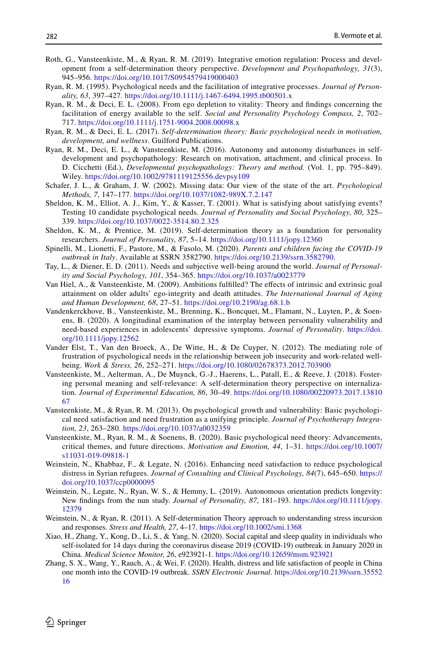- <span id="page-25-20"></span>Roth, G., Vansteenkiste, M., & Ryan, R. M. (2019). Integrative emotion regulation: Process and development from a self-determination theory perspective. *Development and Psychopathology, 31*(3), 945–956. <https://doi.org/10.1017/S0954579419000403>
- <span id="page-25-7"></span>Ryan, R. M. (1995). Psychological needs and the facilitation of integrative processes. *Journal of Personality, 63*, 397–427.<https://doi.org/10.1111/j.1467-6494.1995.tb00501.x>
- <span id="page-25-10"></span>Ryan, R. M., & Deci, E. L. (2008). From ego depletion to vitality: Theory and fndings concerning the facilitation of energy available to the self. *Social and Personality Psychology Compass, 2*, 702– 717.<https://doi.org/10.1111/j.1751-9004.2008.00098.x>
- <span id="page-25-1"></span>Ryan, R. M., & Deci, E. L. (2017). *Self-determination theory: Basic psychological needs in motivation, development, and wellness*. Guilford Publications.
- <span id="page-25-8"></span>Ryan, R. M., Deci, E. L., & Vansteenkiste, M. (2016). Autonomy and autonomy disturbances in selfdevelopment and psychopathology: Research on motivation, attachment, and clinical process. In D. Cicchetti (Ed.), *Developmental psychopathology: Theory and method.* (Vol. 1, pp. 795–849). Wiley.<https://doi.org/10.1002/9781119125556.devpsy109>
- <span id="page-25-17"></span>Schafer, J. L., & Graham, J. W. (2002). Missing data: Our view of the state of the art. *Psychological Methods, 7*, 147–177. <https://doi.org/10.1037/1082-989X.7.2.147>
- <span id="page-25-13"></span>Sheldon, K. M., Elliot, A. J., Kim, Y., & Kasser, T. (2001). What is satisfying about satisfying events? Testing 10 candidate psychological needs. *Journal of Personality and Social Psychology, 80*, 325– 339.<https://doi.org/10.1037/0022-3514.80.2.325>
- <span id="page-25-5"></span>Sheldon, K. M., & Prentice, M. (2019). Self-determination theory as a foundation for personality researchers. *Journal of Personality, 87*, 5–14.<https://doi.org/10.1111/jopy.12360>
- <span id="page-25-0"></span>Spinelli, M., Lionetti, F., Pastore, M., & Fasolo, M. (2020). *Parents and children facing the COVID-19 outbreak in Italy*. Available at SSRN 3582790. [https://doi.org/10.2139/ssrn.3582790.](https://doi.org/10.2139/ssrn.3582790)
- <span id="page-25-9"></span>Tay, L., & Diener, E. D. (2011). Needs and subjective well-being around the world. *Journal of Personality and Social Psychology, 101*, 354–365. <https://doi.org/10.1037/a0023779>
- <span id="page-25-16"></span>Van Hiel, A., & Vansteenkiste, M. (2009). Ambitions fulfilled? The effects of intrinsic and extrinsic goal attainment on older adults' ego-integrity and death attitudes. *The International Journal of Aging and Human Development, 68*, 27–51.<https://doi.org/10.2190/ag.68.1.b>
- <span id="page-25-12"></span>Vandenkerckhove, B., Vansteenkiste, M., Brenning, K., Boncquet, M., Flamant, N., Luyten, P., & Soenens, B. (2020). A longitudinal examination of the interplay between personality vulnerability and need-based experiences in adolescents' depressive symptoms. *Journal of Personality*. [https://doi.](https://doi.org/10.1111/jopy.12562) [org/10.1111/jopy.12562](https://doi.org/10.1111/jopy.12562)
- <span id="page-25-18"></span>Vander Elst, T., Van den Broeck, A., De Witte, H., & De Cuyper, N. (2012). The mediating role of frustration of psychological needs in the relationship between job insecurity and work-related wellbeing. *Work & Stress, 26*, 252–271.<https://doi.org/10.1080/02678373.2012.703900>
- <span id="page-25-6"></span>Vansteenkiste, M., Aelterman, A., De Muynck, G.-J., Haerens, L., Patall, E., & Reeve, J. (2018). Fostering personal meaning and self-relevance: A self-determination theory perspective on internalization. *Journal of Experimental Education, 86*, 30–49. [https://doi.org/10.1080/00220973.2017.13810](https://doi.org/10.1080/00220973.2017.1381067) [67](https://doi.org/10.1080/00220973.2017.1381067)
- <span id="page-25-4"></span>Vansteenkiste, M., & Ryan, R. M. (2013). On psychological growth and vulnerability: Basic psychological need satisfaction and need frustration as a unifying principle. *Journal of Psychotherapy Integration, 23*, 263–280.<https://doi.org/10.1037/a0032359>
- <span id="page-25-2"></span>Vansteenkiste, M., Ryan, R. M., & Soenens, B. (2020). Basic psychological need theory: Advancements, critical themes, and future directions. *Motivation and Emotion, 44*, 1–31. [https://doi.org/10.1007/](https://doi.org/10.1007/s11031-019-09818-1) [s11031-019-09818-1](https://doi.org/10.1007/s11031-019-09818-1)
- <span id="page-25-19"></span>Weinstein, N., Khabbaz, F., & Legate, N. (2016). Enhancing need satisfaction to reduce psychological distress in Syrian refugees. *Journal of Consulting and Clinical Psychology, 84*(7), 645–650. [https://](https://doi.org/10.1037/ccp0000095) [doi.org/10.1037/ccp0000095](https://doi.org/10.1037/ccp0000095)
- <span id="page-25-11"></span>Weinstein, N., Legate, N., Ryan, W. S., & Hemmy, L. (2019). Autonomous orientation predicts longevity: New fndings from the nun study. *Journal of Personality, 87*, 181–193. [https://doi.org/10.1111/jopy.](https://doi.org/10.1111/jopy.12379) [12379](https://doi.org/10.1111/jopy.12379)
- <span id="page-25-3"></span>Weinstein, N., & Ryan, R. (2011). A Self-determination Theory approach to understanding stress incursion and responses. *Stress and Health, 27*, 4–17.<https://doi.org/10.1002/smi.1368>
- <span id="page-25-15"></span>Xiao, H., Zhang, Y., Kong, D., Li, S., & Yang, N. (2020). Social capital and sleep quality in individuals who self-isolated for 14 days during the coronavirus disease 2019 (COVID-19) outbreak in January 2020 in China. *Medical Science Monitor, 26*, e923921-1.<https://doi.org/10.12659/msm.923921>
- <span id="page-25-14"></span>Zhang, S. X., Wang, Y., Rauch, A., & Wei, F. (2020). Health, distress and life satisfaction of people in China one month into the COVID-19 outbreak. *SSRN Electronic Journal*. [https://doi.org/10.2139/ssrn.35552](https://doi.org/10.2139/ssrn.3555216) [16](https://doi.org/10.2139/ssrn.3555216)